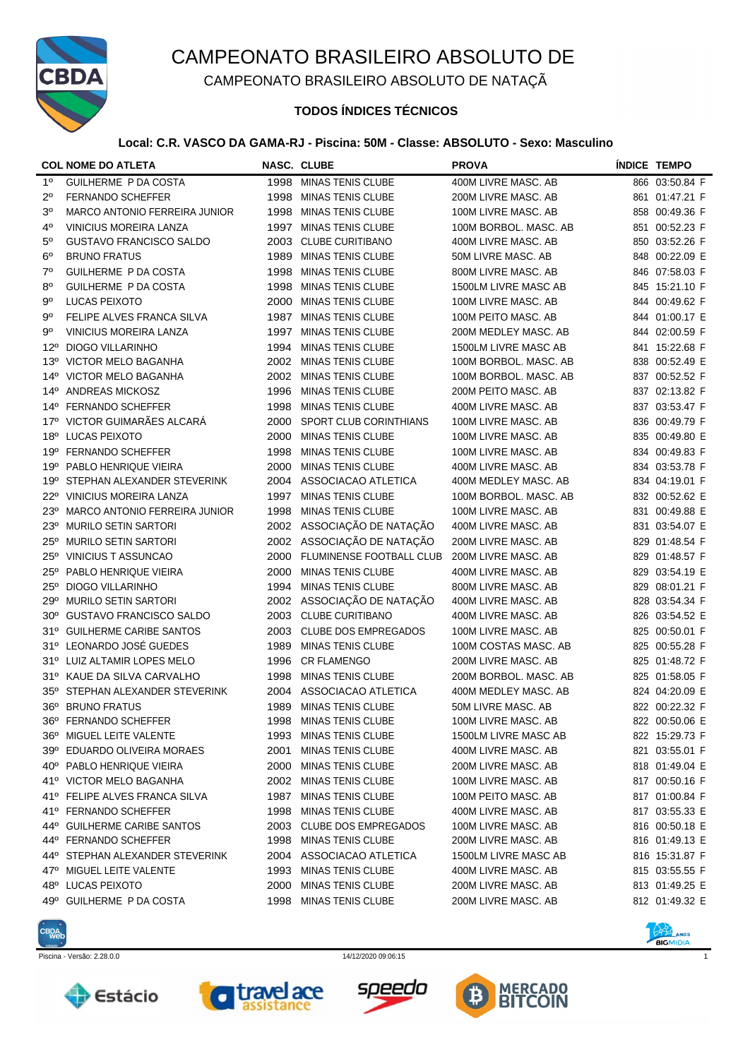

CAMPEONATO BRASILEIRO ABSOLUTO DE NATAÇÃ

### **TODOS ÍNDICES TÉCNICOS**

### **Local: C.R. VASCO DA GAMA-RJ - Piscina: 50M - Classe: ABSOLUTO - Sexo: Masculino**

|                 | <b>COL NOME DO ATLETA</b>       |      | <b>NASC. CLUBE</b>              | <b>PROVA</b>          | <b>ÍNDICE TEMPO</b> |
|-----------------|---------------------------------|------|---------------------------------|-----------------------|---------------------|
| $1^{\circ}$     | GUILHERME P DA COSTA            |      | 1998 MINAS TENIS CLUBE          | 400M LIVRE MASC. AB   | 866 03:50.84 F      |
| 2°              | <b>FERNANDO SCHEFFER</b>        |      | 1998 MINAS TENIS CLUBE          | 200M LIVRE MASC. AB   | 861 01:47.21 F      |
| $3^{\circ}$     | MARCO ANTONIO FERREIRA JUNIOR   |      | 1998 MINAS TENIS CLUBE          | 100M LIVRE MASC. AB   | 858 00:49.36 F      |
| 4°              | <b>VINICIUS MOREIRA LANZA</b>   |      | 1997 MINAS TENIS CLUBE          | 100M BORBOL. MASC. AB | 851 00:52.23 F      |
| $5^{\circ}$     | <b>GUSTAVO FRANCISCO SALDO</b>  |      | 2003 CLUBE CURITIBANO           | 400M LIVRE MASC. AB   | 850 03:52.26 F      |
| $6^{\circ}$     | <b>BRUNO FRATUS</b>             | 1989 | <b>MINAS TENIS CLUBE</b>        | 50M LIVRE MASC. AB    | 848 00:22.09 E      |
| $7^\circ$       | GUILHERME P DA COSTA            | 1998 | <b>MINAS TENIS CLUBE</b>        | 800M LIVRE MASC. AB   | 846 07:58.03 F      |
| 80              | GUILHERME P DA COSTA            | 1998 | <b>MINAS TENIS CLUBE</b>        | 1500LM LIVRE MASC AB  | 845 15:21.10 F      |
| $9^{\circ}$     | LUCAS PEIXOTO                   | 2000 | <b>MINAS TENIS CLUBE</b>        | 100M LIVRE MASC. AB   | 844 00:49.62 F      |
| 9°              | FELIPE ALVES FRANCA SILVA       |      | 1987 MINAS TENIS CLUBE          | 100M PEITO MASC. AB   | 844 01:00.17 E      |
| 9°              | <b>VINICIUS MOREIRA LANZA</b>   | 1997 | <b>MINAS TENIS CLUBE</b>        | 200M MEDLEY MASC. AB  | 844 02:00.59 F      |
| $12^{\circ}$    | <b>DIOGO VILLARINHO</b>         | 1994 | <b>MINAS TENIS CLUBE</b>        | 1500LM LIVRE MASC AB  | 841 15:22.68 F      |
| 13 <sup>°</sup> | <b>VICTOR MELO BAGANHA</b>      | 2002 | MINAS TENIS CLUBE               | 100M BORBOL. MASC. AB | 838 00:52.49 E      |
| 14°             | <b>VICTOR MELO BAGANHA</b>      | 2002 | MINAS TENIS CLUBE               | 100M BORBOL. MASC. AB | 837 00:52.52 F      |
| $14^{\circ}$    | ANDREAS MICKOSZ                 | 1996 | <b>MINAS TENIS CLUBE</b>        | 200M PEITO MASC. AB   | 837 02:13.82 F      |
| $14^{\circ}$    | FERNANDO SCHEFFER               | 1998 | <b>MINAS TENIS CLUBE</b>        | 400M LIVRE MASC. AB   | 837 03:53.47 F      |
| 17°             | VICTOR GUIMARÃES ALCARÁ         | 2000 | SPORT CLUB CORINTHIANS          | 100M LIVRE MASC. AB   | 836 00:49.79 F      |
| 18°             | LUCAS PEIXOTO                   | 2000 | <b>MINAS TENIS CLUBE</b>        | 100M LIVRE MASC. AB   | 835 00:49.80 E      |
|                 | 19º FERNANDO SCHEFFER           | 1998 | <b>MINAS TENIS CLUBE</b>        | 100M LIVRE MASC. AB   | 834 00:49.83 F      |
|                 | 19º PABLO HENRIQUE VIEIRA       | 2000 | <b>MINAS TENIS CLUBE</b>        | 400M LIVRE MASC. AB   | 834 03:53.78 F      |
| 19º             | STEPHAN ALEXANDER STEVERINK     | 2004 | ASSOCIACAO ATLETICA             | 400M MEDLEY MASC. AB  | 834 04:19.01 F      |
|                 | 22º VINICIUS MOREIRA LANZA      | 1997 | <b>MINAS TENIS CLUBE</b>        | 100M BORBOL. MASC. AB | 832 00:52.62 E      |
| 23°             | MARCO ANTONIO FERREIRA JUNIOR   | 1998 | <b>MINAS TENIS CLUBE</b>        | 100M LIVRE MASC. AB   | 831 00:49.88 E      |
| $23^\circ$      | <b>MURILO SETIN SARTORI</b>     |      | 2002 ASSOCIAÇÃO DE NATAÇÃO      | 400M LIVRE MASC. AB   | 831 03:54.07 E      |
|                 | 25° MURILO SETIN SARTORI        |      | 2002 ASSOCIAÇÃO DE NATAÇÃO      | 200M LIVRE MASC. AB   | 829 01:48.54 F      |
| $25^{\circ}$    | <b>VINICIUS T ASSUNCAO</b>      | 2000 | <b>FLUMINENSE FOOTBALL CLUB</b> | 200M LIVRE MASC. AB   | 829 01:48.57 F      |
| $25^\circ$      | PABLO HENRIQUE VIEIRA           | 2000 | <b>MINAS TENIS CLUBE</b>        | 400M LIVRE MASC. AB   | 829 03:54.19 E      |
| $25^{\circ}$    | <b>DIOGO VILLARINHO</b>         | 1994 | <b>MINAS TENIS CLUBE</b>        | 800M LIVRE MASC, AB   | 829 08:01.21 F      |
| 29°             | <b>MURILO SETIN SARTORI</b>     |      | 2002 ASSOCIAÇÃO DE NATAÇÃO      | 400M LIVRE MASC. AB   | 828 03:54.34 F      |
| $30^{\circ}$    | <b>GUSTAVO FRANCISCO SALDO</b>  | 2003 | <b>CLUBE CURITIBANO</b>         | 400M LIVRE MASC. AB   | 826 03:54.52 E      |
| 31°             | <b>GUILHERME CARIBE SANTOS</b>  | 2003 | <b>CLUBE DOS EMPREGADOS</b>     | 100M LIVRE MASC. AB   | 825 00:50.01 F      |
|                 | 31º LEONARDO JOSÉ GUEDES        | 1989 | <b>MINAS TENIS CLUBE</b>        | 100M COSTAS MASC. AB  | 825 00:55.28 F      |
|                 | 31º LUIZ ALTAMIR LOPES MELO     | 1996 | <b>CR FLAMENGO</b>              | 200M LIVRE MASC. AB   | 825 01:48.72 F      |
|                 | 31º KAUE DA SILVA CARVALHO      | 1998 | <b>MINAS TENIS CLUBE</b>        | 200M BORBOL. MASC. AB | 825 01:58.05 F      |
|                 | 35° STEPHAN ALEXANDER STEVERINK | 2004 | ASSOCIACAO ATLETICA             | 400M MEDLEY MASC. AB  | 824 04:20.09 E      |
|                 | 36° BRUNO FRATUS                |      | 1989 MINAS TENIS CLUBE          | 50M LIVRE MASC. AB    | 822 00:22.32 F      |
| 36°             | FERNANDO SCHEFFER               | 1998 | MINAS TENIS CLUBE               | 100M LIVRE MASC. AB   | 822 00:50.06 E      |
|                 | 36° MIGUEL LEITE VALENTE        |      | 1993 MINAS TENIS CLUBE          | 1500LM LIVRE MASC AB  | 822 15:29.73 F      |
|                 | 39º EDUARDO OLIVEIRA MORAES     | 2001 | <b>MINAS TENIS CLUBE</b>        | 400M LIVRE MASC. AB   | 821 03:55.01 F      |
|                 | 40° PABLO HENRIQUE VIEIRA       | 2000 | <b>MINAS TENIS CLUBE</b>        | 200M LIVRE MASC. AB   | 818 01:49.04 E      |
|                 | 41º VICTOR MELO BAGANHA         |      | 2002 MINAS TENIS CLUBE          | 100M LIVRE MASC. AB   | 817 00:50.16 F      |
| 41°             | FELIPE ALVES FRANCA SILVA       | 1987 | <b>MINAS TENIS CLUBE</b>        | 100M PEITO MASC. AB   | 817 01:00.84 F      |
| 41°             | FERNANDO SCHEFFER               | 1998 | <b>MINAS TENIS CLUBE</b>        | 400M LIVRE MASC. AB   | 817 03:55.33 E      |
| 44°             | <b>GUILHERME CARIBE SANTOS</b>  | 2003 | <b>CLUBE DOS EMPREGADOS</b>     | 100M LIVRE MASC. AB   | 816 00:50.18 E      |
|                 | 44º FERNANDO SCHEFFER           | 1998 | <b>MINAS TENIS CLUBE</b>        | 200M LIVRE MASC. AB   | 816 01:49.13 E      |
|                 | 44° STEPHAN ALEXANDER STEVERINK | 2004 | ASSOCIACAO ATLETICA             | 1500LM LIVRE MASC AB  | 816 15:31.87 F      |
| 47°             | MIGUEL LEITE VALENTE            | 1993 | <b>MINAS TENIS CLUBE</b>        | 400M LIVRE MASC. AB   | 815 03:55.55 F      |
| 48°             | LUCAS PEIXOTO                   | 2000 | <b>MINAS TENIS CLUBE</b>        | 200M LIVRE MASC. AB   | 813 01:49.25 E      |
| 49°             | GUILHERME P DA COSTA            | 1998 | <b>MINAS TENIS CLUBE</b>        | 200M LIVRE MASC. AB   | 812 01:49.32 E      |
|                 |                                 |      |                                 |                       |                     |











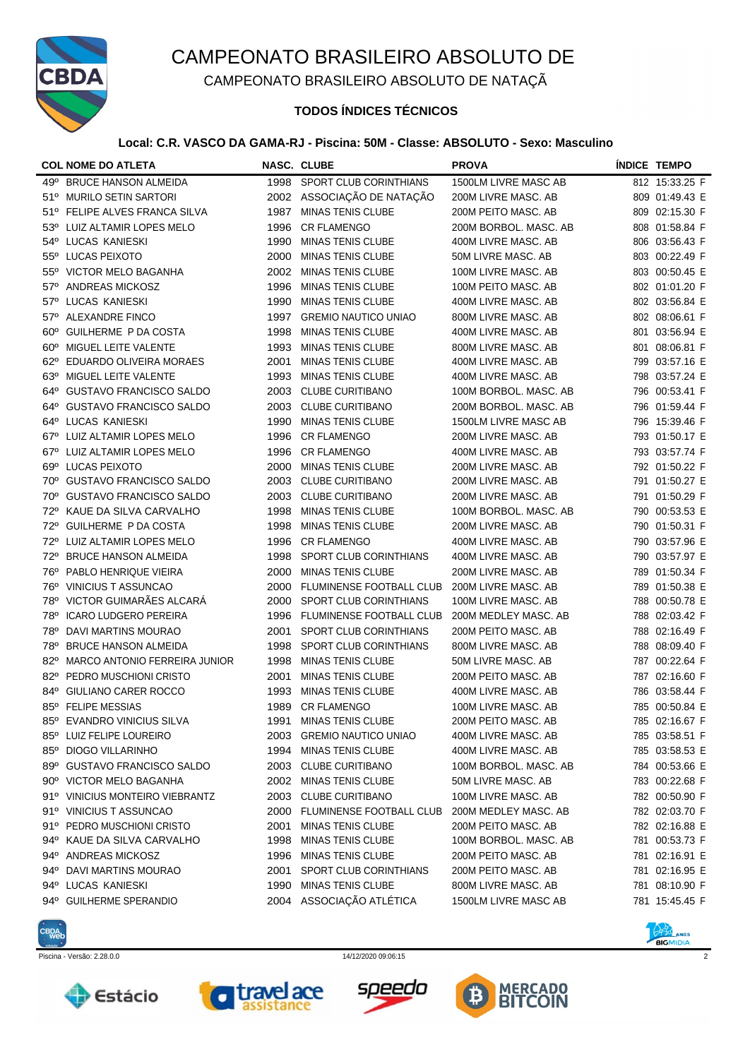

CAMPEONATO BRASILEIRO ABSOLUTO DE NATAÇÃ

## **TODOS ÍNDICES TÉCNICOS**

### **Local: C.R. VASCO DA GAMA-RJ - Piscina: 50M - Classe: ABSOLUTO - Sexo: Masculino**

|              | <b>COL NOME DO ATLETA</b>       |      | <b>NASC. CLUBE</b>          | <b>PROVA</b>          | <b>ÍNDICE TEMPO</b> |
|--------------|---------------------------------|------|-----------------------------|-----------------------|---------------------|
|              | 49º BRUCE HANSON ALMEIDA        |      | 1998 SPORT CLUB CORINTHIANS | 1500LM LIVRE MASC AB  | 812 15:33.25 F      |
|              | 51º MURILO SETIN SARTORI        |      | 2002 ASSOCIAÇÃO DE NATAÇÃO  | 200M LIVRE MASC, AB   | 809 01:49.43 E      |
|              | 51º FELIPE ALVES FRANCA SILVA   | 1987 | <b>MINAS TENIS CLUBE</b>    | 200M PEITO MASC. AB   | 809 02:15.30 F      |
|              | 53º LUIZ ALTAMIR LOPES MELO     | 1996 | <b>CR FLAMENGO</b>          | 200M BORBOL. MASC. AB | 808 01:58.84 F      |
|              | 54° LUCAS KANIESKI              | 1990 | <b>MINAS TENIS CLUBE</b>    | 400M LIVRE MASC. AB   | 806 03:56.43 F      |
|              | 55° LUCAS PEIXOTO               | 2000 | <b>MINAS TENIS CLUBE</b>    | 50M LIVRE MASC. AB    | 803 00:22.49 F      |
|              | 55° VICTOR MELO BAGANHA         | 2002 | <b>MINAS TENIS CLUBE</b>    | 100M LIVRE MASC. AB   | 803 00:50.45 E      |
| $57^\circ$   | <b>ANDREAS MICKOSZ</b>          | 1996 | <b>MINAS TENIS CLUBE</b>    | 100M PEITO MASC. AB   | 802 01:01.20 F      |
| $57^\circ$   | <b>LUCAS KANIESKI</b>           | 1990 | <b>MINAS TENIS CLUBE</b>    | 400M LIVRE MASC, AB   | 802 03:56.84 E      |
| $57^\circ$   | ALEXANDRE FINCO                 | 1997 | <b>GREMIO NAUTICO UNIAO</b> | 800M LIVRE MASC. AB   | 802 08:06.61 F      |
| $60^\circ$   | GUILHERME P DA COSTA            | 1998 | <b>MINAS TENIS CLUBE</b>    | 400M LIVRE MASC. AB   | 801 03:56.94 E      |
| $60^\circ$   | MIGUEL LEITE VALENTE            | 1993 | <b>MINAS TENIS CLUBE</b>    | 800M LIVRE MASC. AB   | 801 08:06.81 F      |
| $62^\circ$   | EDUARDO OLIVEIRA MORAES         | 2001 | <b>MINAS TENIS CLUBE</b>    | 400M LIVRE MASC. AB   | 799 03:57.16 E      |
|              | 63º MIGUEL LEITE VALENTE        | 1993 | <b>MINAS TENIS CLUBE</b>    | 400M LIVRE MASC. AB   | 798 03:57.24 E      |
| 64°          | <b>GUSTAVO FRANCISCO SALDO</b>  | 2003 | <b>CLUBE CURITIBANO</b>     | 100M BORBOL. MASC. AB | 796 00:53.41 F      |
| 64°          | <b>GUSTAVO FRANCISCO SALDO</b>  | 2003 | <b>CLUBE CURITIBANO</b>     | 200M BORBOL. MASC. AB | 796 01:59.44 F      |
| 64°          | <b>LUCAS KANIESKI</b>           | 1990 | <b>MINAS TENIS CLUBE</b>    | 1500LM LIVRE MASC AB  | 796 15:39.46 F      |
| $67^\circ$   | LUIZ ALTAMIR LOPES MELO         | 1996 | <b>CR FLAMENGO</b>          | 200M LIVRE MASC. AB   | 793 01:50.17 E      |
| $67^\circ$   | LUIZ ALTAMIR LOPES MELO         | 1996 | <b>CR FLAMENGO</b>          | 400M LIVRE MASC. AB   | 793 03:57.74 F      |
| $69^\circ$   | LUCAS PEIXOTO                   | 2000 | <b>MINAS TENIS CLUBE</b>    | 200M LIVRE MASC, AB   | 792 01:50.22 F      |
| 70°          | <b>GUSTAVO FRANCISCO SALDO</b>  | 2003 | <b>CLUBE CURITIBANO</b>     | 200M LIVRE MASC. AB   | 791 01:50.27 E      |
| 70°          | <b>GUSTAVO FRANCISCO SALDO</b>  | 2003 | <b>CLUBE CURITIBANO</b>     | 200M LIVRE MASC. AB   | 791 01:50.29 F      |
| 72°          | KAUE DA SILVA CARVALHO          | 1998 | <b>MINAS TENIS CLUBE</b>    | 100M BORBOL. MASC. AB | 790 00:53.53 E      |
| 72°          | GUILHERME P DA COSTA            | 1998 | <b>MINAS TENIS CLUBE</b>    | 200M LIVRE MASC. AB   | 790 01:50.31 F      |
| 72°          | LUIZ ALTAMIR LOPES MELO         | 1996 | <b>CR FLAMENGO</b>          | 400M LIVRE MASC. AB   | 790 03:57.96 E      |
| 72°          | <b>BRUCE HANSON ALMEIDA</b>     | 1998 | SPORT CLUB CORINTHIANS      | 400M LIVRE MASC. AB   | 790 03:57.97 E      |
| 76°          | PABLO HENRIQUE VIEIRA           | 2000 | <b>MINAS TENIS CLUBE</b>    | 200M LIVRE MASC. AB   | 789 01:50.34 F      |
| 76°          | <b>VINICIUS T ASSUNCAO</b>      | 2000 | FLUMINENSE FOOTBALL CLUB    | 200M LIVRE MASC. AB   | 789 01:50.38 E      |
|              | 78º VICTOR GUIMARÃES ALCARÁ     | 2000 | SPORT CLUB CORINTHIANS      | 100M LIVRE MASC. AB   | 788 00:50.78 E      |
| <b>78°</b>   | <b>ICARO LUDGERO PEREIRA</b>    | 1996 | FLUMINENSE FOOTBALL CLUB    | 200M MEDLEY MASC. AB  | 788 02:03.42 F      |
| 78°          | DAVI MARTINS MOURAO             | 2001 | SPORT CLUB CORINTHIANS      | 200M PEITO MASC. AB   | 788 02:16.49 F      |
| 78°          | <b>BRUCE HANSON ALMEIDA</b>     | 1998 | SPORT CLUB CORINTHIANS      | 800M LIVRE MASC. AB   | 788 08:09.40 F      |
| $82^\circ$   | MARCO ANTONIO FERREIRA JUNIOR   | 1998 | <b>MINAS TENIS CLUBE</b>    | 50M LIVRE MASC. AB    | 787 00:22.64 F      |
| $82^\circ$   | PEDRO MUSCHIONI CRISTO          | 2001 | <b>MINAS TENIS CLUBE</b>    | 200M PEITO MASC. AB   | 787 02:16.60 F      |
| $84^{\circ}$ | GIULIANO CARER ROCCO            | 1993 | <b>MINAS TENIS CLUBE</b>    | 400M LIVRE MASC. AB   | 786 03:58.44 F      |
|              | 85° FELIPE MESSIAS              |      | 1989 CR FLAMENGO            | 100M LIVRE MASC, AB   | 785 00:50.84 E      |
| $85^\circ$   | EVANDRO VINICIUS SILVA          | 1991 | MINAS TENIS CLUBE           | 200M PEITO MASC. AB   | 785 02:16.67 F      |
|              | 85° LUIZ FELIPE LOUREIRO        | 2003 | <b>GREMIO NAUTICO UNIAO</b> | 400M LIVRE MASC. AB   | 785 03:58.51 F      |
|              | 85° DIOGO VILLARINHO            | 1994 | <b>MINAS TENIS CLUBE</b>    | 400M LIVRE MASC. AB   | 785 03:58.53 E      |
|              | 89º GUSTAVO FRANCISCO SALDO     |      | 2003 CLUBE CURITIBANO       | 100M BORBOL. MASC. AB | 784 00:53.66 E      |
|              | 90° VICTOR MELO BAGANHA         | 2002 | <b>MINAS TENIS CLUBE</b>    | 50M LIVRE MASC. AB    | 783 00:22.68 F      |
|              | 91º VINICIUS MONTEIRO VIEBRANTZ | 2003 | <b>CLUBE CURITIBANO</b>     | 100M LIVRE MASC. AB   | 782 00:50.90 F      |
|              | 91º VINICIUS T ASSUNCAO         | 2000 | FLUMINENSE FOOTBALL CLUB    | 200M MEDLEY MASC, AB  | 782 02:03.70 F      |
|              | 91º PEDRO MUSCHIONI CRISTO      | 2001 | <b>MINAS TENIS CLUBE</b>    | 200M PEITO MASC. AB   | 782 02:16.88 E      |
|              | 94° KAUE DA SILVA CARVALHO      | 1998 | MINAS TENIS CLUBE           | 100M BORBOL. MASC. AB | 781 00:53.73 F      |
|              | 94º ANDREAS MICKOSZ             | 1996 | MINAS TENIS CLUBE           | 200M PEITO MASC. AB   | 781 02:16.91 E      |
|              | 94º DAVI MARTINS MOURAO         | 2001 | SPORT CLUB CORINTHIANS      | 200M PEITO MASC. AB   | 781 02:16.95 E      |
|              | 94° LUCAS KANIESKI              | 1990 | <b>MINAS TENIS CLUBE</b>    | 800M LIVRE MASC. AB   | 781 08:10.90 F      |
|              | 94° GUILHERME SPERANDIO         |      | 2004 ASSOCIAÇÃO ATLÉTICA    | 1500LM LIVRE MASC AB  | 781 15:45.45 F      |











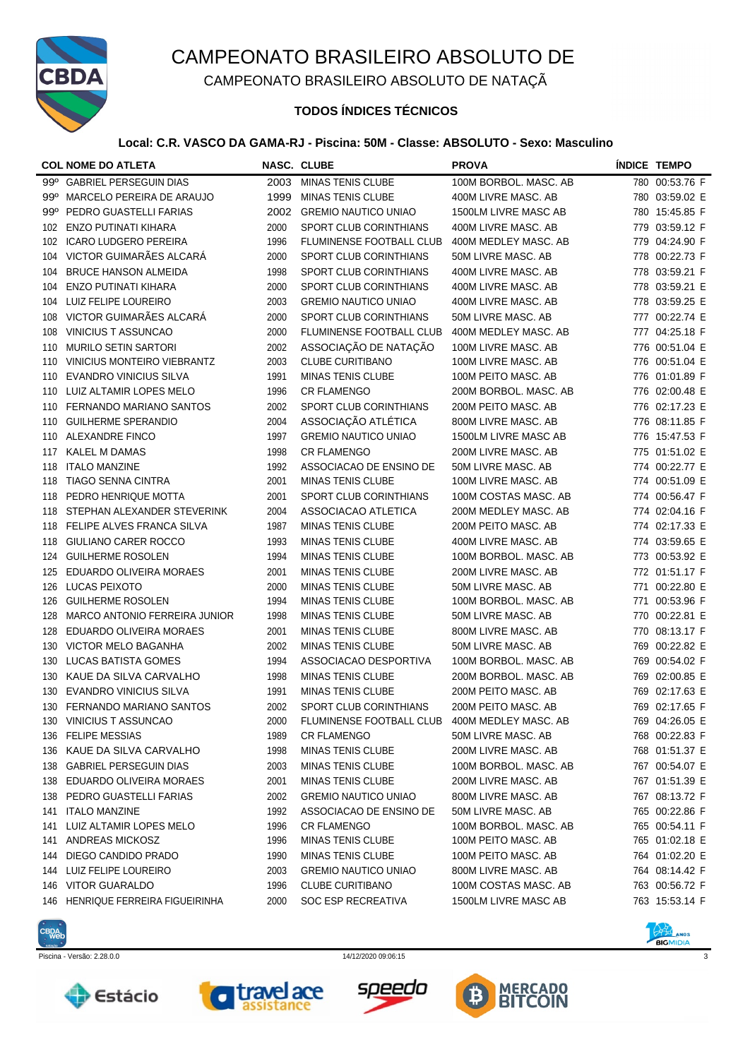

CAMPEONATO BRASILEIRO ABSOLUTO DE NATAÇÃ

## **TODOS ÍNDICES TÉCNICOS**

### **Local: C.R. VASCO DA GAMA-RJ - Piscina: 50M - Classe: ABSOLUTO - Sexo: Masculino**

|     | <b>COL NOME DO ATLETA</b>     |      | <b>NASC. CLUBE</b>            | <b>PROVA</b>          |     | <b>ÍNDICE TEMPO</b> |
|-----|-------------------------------|------|-------------------------------|-----------------------|-----|---------------------|
|     | 99º GABRIEL PERSEGUIN DIAS    | 2003 | <b>MINAS TENIS CLUBE</b>      | 100M BORBOL. MASC. AB |     | 780 00:53.76 F      |
| 99° | MARCELO PEREIRA DE ARAUJO     | 1999 | <b>MINAS TENIS CLUBE</b>      | 400M LIVRE MASC. AB   |     | 780 03:59.02 E      |
| 99° | PEDRO GUASTELLI FARIAS        | 2002 | <b>GREMIO NAUTICO UNIAO</b>   | 1500LM LIVRE MASC AB  |     | 780 15:45.85 F      |
| 102 | <b>ENZO PUTINATI KIHARA</b>   | 2000 | SPORT CLUB CORINTHIANS        | 400M LIVRE MASC. AB   |     | 779 03:59.12 F      |
| 102 | <b>ICARO LUDGERO PEREIRA</b>  | 1996 | FLUMINENSE FOOTBALL CLUB      | 400M MEDLEY MASC. AB  |     | 779 04:24.90 F      |
| 104 | VICTOR GUIMARÃES ALCARÁ       | 2000 | SPORT CLUB CORINTHIANS        | 50M LIVRE MASC. AB    |     | 778 00:22.73 F      |
| 104 | <b>BRUCE HANSON ALMEIDA</b>   | 1998 | SPORT CLUB CORINTHIANS        | 400M LIVRE MASC. AB   |     | 778 03:59.21 F      |
| 104 | <b>ENZO PUTINATI KIHARA</b>   | 2000 | SPORT CLUB CORINTHIANS        | 400M LIVRE MASC. AB   |     | 778 03:59.21 E      |
| 104 | LUIZ FELIPE LOUREIRO          | 2003 | <b>GREMIO NAUTICO UNIAO</b>   | 400M LIVRE MASC. AB   |     | 778 03:59.25 E      |
| 108 | VICTOR GUIMARÃES ALCARÁ       | 2000 | SPORT CLUB CORINTHIANS        | 50M LIVRE MASC. AB    |     | 777 00:22.74 E      |
| 108 | <b>VINICIUS T ASSUNCAO</b>    | 2000 | FLUMINENSE FOOTBALL CLUB      | 400M MEDLEY MASC. AB  |     | 777 04:25.18 F      |
| 110 | <b>MURILO SETIN SARTORI</b>   | 2002 | ASSOCIAÇÃO DE NATAÇÃO         | 100M LIVRE MASC. AB   |     | 776 00:51.04 E      |
| 110 | VINICIUS MONTEIRO VIEBRANTZ   | 2003 | <b>CLUBE CURITIBANO</b>       | 100M LIVRE MASC. AB   |     | 776 00:51.04 E      |
| 110 | <b>EVANDRO VINICIUS SILVA</b> | 1991 | <b>MINAS TENIS CLUBE</b>      | 100M PEITO MASC. AB   |     | 776 01:01.89 F      |
| 110 | LUIZ ALTAMIR LOPES MELO       | 1996 | <b>CR FLAMENGO</b>            | 200M BORBOL. MASC. AB |     | 776 02:00.48 E      |
| 110 | FERNANDO MARIANO SANTOS       | 2002 | SPORT CLUB CORINTHIANS        | 200M PEITO MASC. AB   |     | 776 02:17.23 E      |
| 110 | <b>GUILHERME SPERANDIO</b>    | 2004 | ASSOCIAÇÃO ATLÉTICA           | 800M LIVRE MASC. AB   |     | 776 08:11.85 F      |
| 110 | ALEXANDRE FINCO               | 1997 | <b>GREMIO NAUTICO UNIAO</b>   | 1500LM LIVRE MASC AB  |     | 776 15:47.53 F      |
| 117 | <b>KALEL M DAMAS</b>          | 1998 | <b>CR FLAMENGO</b>            | 200M LIVRE MASC. AB   |     | 775 01:51.02 E      |
| 118 | <b>ITALO MANZINE</b>          | 1992 | ASSOCIACAO DE ENSINO DE       | 50M LIVRE MASC. AB    |     | 774 00:22.77 E      |
| 118 | <b>TIAGO SENNA CINTRA</b>     | 2001 | <b>MINAS TENIS CLUBE</b>      | 100M LIVRE MASC. AB   |     | 774 00:51.09 E      |
| 118 | PEDRO HENRIQUE MOTTA          | 2001 | <b>SPORT CLUB CORINTHIANS</b> | 100M COSTAS MASC. AB  |     | 774 00:56.47 F      |
| 118 | STEPHAN ALEXANDER STEVERINK   | 2004 | ASSOCIACAO ATLETICA           | 200M MEDLEY MASC. AB  |     | 774 02:04.16 F      |
| 118 | FELIPE ALVES FRANCA SILVA     | 1987 | <b>MINAS TENIS CLUBE</b>      | 200M PEITO MASC. AB   |     | 774 02:17.33 E      |
| 118 | GIULIANO CARER ROCCO          | 1993 | <b>MINAS TENIS CLUBE</b>      | 400M LIVRE MASC. AB   |     | 774 03:59.65 E      |
| 124 | <b>GUILHERME ROSOLEN</b>      | 1994 | <b>MINAS TENIS CLUBE</b>      | 100M BORBOL. MASC. AB |     | 773 00:53.92 E      |
| 125 | EDUARDO OLIVEIRA MORAES       | 2001 | <b>MINAS TENIS CLUBE</b>      | 200M LIVRE MASC. AB   |     | 772 01:51.17 F      |
| 126 | LUCAS PEIXOTO                 | 2000 | <b>MINAS TENIS CLUBE</b>      | 50M LIVRE MASC. AB    | 771 | 00:22.80 E          |
| 126 | <b>GUILHERME ROSOLEN</b>      | 1994 | <b>MINAS TENIS CLUBE</b>      | 100M BORBOL. MASC. AB | 771 | 00:53.96 F          |
| 128 | MARCO ANTONIO FERREIRA JUNIOR | 1998 | <b>MINAS TENIS CLUBE</b>      | 50M LIVRE MASC. AB    | 770 | 00:22.81 E          |
| 128 | EDUARDO OLIVEIRA MORAES       | 2001 | <b>MINAS TENIS CLUBE</b>      | 800M LIVRE MASC. AB   | 770 | 08:13.17 F          |
| 130 | VICTOR MELO BAGANHA           | 2002 | <b>MINAS TENIS CLUBE</b>      | 50M LIVRE MASC. AB    | 769 | 00:22.82 E          |
| 130 | <b>LUCAS BATISTA GOMES</b>    | 1994 | ASSOCIACAO DESPORTIVA         | 100M BORBOL. MASC. AB |     | 769 00:54.02 F      |
| 130 | KAUE DA SILVA CARVALHO        | 1998 | <b>MINAS TENIS CLUBE</b>      | 200M BORBOL. MASC. AB | 769 | 02:00.85 E          |
| 130 | <b>EVANDRO VINICIUS SILVA</b> | 1991 | <b>MINAS TENIS CLUBE</b>      | 200M PEITO MASC. AB   | 769 | 02:17.63 E          |
|     | 130 FERNANDO MARIANO SANTOS   | 2002 | SPORT CLUB CORINTHIANS        | 200M PEITO MASC. AB   |     | 769 02:17.65 F      |
| 130 | VINICIUS T ASSUNCAO           | 2000 | FLUMINENSE FOOTBALL CLUB      | 400M MEDLEY MASC. AB  |     | 769 04:26.05 E      |
| 136 | <b>FELIPE MESSIAS</b>         | 1989 | <b>CR FLAMENGO</b>            | 50M LIVRE MASC. AB    |     | 768 00:22.83 F      |
| 136 | KAUE DA SILVA CARVALHO        | 1998 | MINAS TENIS CLUBE             | 200M LIVRE MASC. AB   |     | 768 01:51.37 E      |
| 138 | <b>GABRIEL PERSEGUIN DIAS</b> | 2003 | <b>MINAS TENIS CLUBE</b>      | 100M BORBOL. MASC. AB |     | 767 00:54.07 E      |
| 138 | EDUARDO OLIVEIRA MORAES       | 2001 | <b>MINAS TENIS CLUBE</b>      | 200M LIVRE MASC. AB   |     | 767 01:51.39 E      |
| 138 | PEDRO GUASTELLI FARIAS        | 2002 | <b>GREMIO NAUTICO UNIAO</b>   | 800M LIVRE MASC. AB   |     | 767 08:13.72 F      |
| 141 | <b>ITALO MANZINE</b>          | 1992 | ASSOCIACAO DE ENSINO DE       | 50M LIVRE MASC, AB    |     | 765 00:22.86 F      |
| 141 | LUIZ ALTAMIR LOPES MELO       | 1996 | <b>CR FLAMENGO</b>            | 100M BORBOL. MASC. AB |     | 765 00:54.11 F      |
| 141 | ANDREAS MICKOSZ               | 1996 | <b>MINAS TENIS CLUBE</b>      | 100M PEITO MASC. AB   |     | 765 01:02.18 E      |
| 144 | DIEGO CANDIDO PRADO           | 1990 | <b>MINAS TENIS CLUBE</b>      | 100M PEITO MASC. AB   |     | 764 01:02.20 E      |
| 144 | LUIZ FELIPE LOUREIRO          | 2003 | <b>GREMIO NAUTICO UNIAO</b>   | 800M LIVRE MASC. AB   |     | 764 08:14.42 F      |
| 146 | <b>VITOR GUARALDO</b>         | 1996 | <b>CLUBE CURITIBANO</b>       | 100M COSTAS MASC. AB  |     | 763 00:56.72 F      |
| 146 | HENRIQUE FERREIRA FIGUEIRINHA | 2000 | SOC ESP RECREATIVA            | 1500LM LIVRE MASC AB  |     | 763 15:53.14 F      |
|     |                               |      |                               |                       |     |                     |











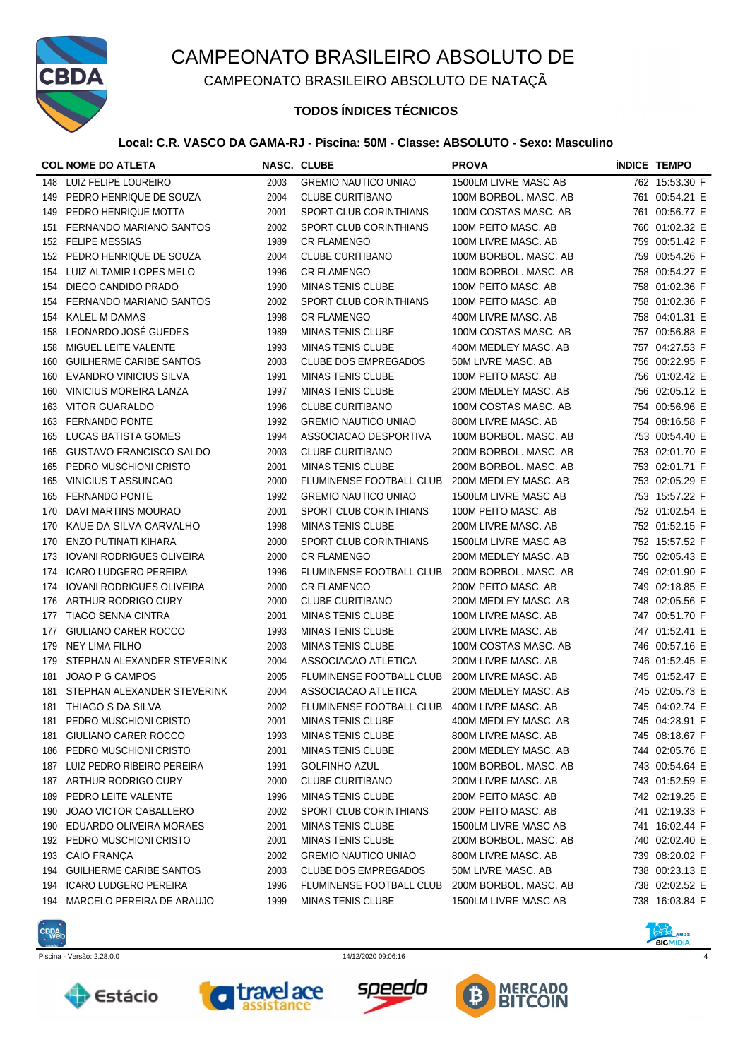

CAMPEONATO BRASILEIRO ABSOLUTO DE NATAÇÃ

## **TODOS ÍNDICES TÉCNICOS**

### **Local: C.R. VASCO DA GAMA-RJ - Piscina: 50M - Classe: ABSOLUTO - Sexo: Masculino**

|     | <b>COL NOME DO ATLETA</b>        |      | <b>NASC. CLUBE</b>              | <b>PROVA</b>          | <b>ÍNDICE TEMPO</b> |
|-----|----------------------------------|------|---------------------------------|-----------------------|---------------------|
| 148 | LUIZ FELIPE LOUREIRO             | 2003 | <b>GREMIO NAUTICO UNIAO</b>     | 1500LM LIVRE MASC AB  | 762 15:53.30 F      |
| 149 | PEDRO HENRIQUE DE SOUZA          | 2004 | <b>CLUBE CURITIBANO</b>         | 100M BORBOL, MASC, AB | 761 00:54.21 E      |
| 149 | PEDRO HENRIQUE MOTTA             | 2001 | SPORT CLUB CORINTHIANS          | 100M COSTAS MASC. AB  | 761 00:56.77 E      |
| 151 | FERNANDO MARIANO SANTOS          | 2002 | SPORT CLUB CORINTHIANS          | 100M PEITO MASC. AB   | 760 01:02.32 E      |
| 152 | <b>FELIPE MESSIAS</b>            | 1989 | <b>CR FLAMENGO</b>              | 100M LIVRE MASC. AB   | 759 00:51.42 F      |
| 152 | PEDRO HENRIQUE DE SOUZA          | 2004 | <b>CLUBE CURITIBANO</b>         | 100M BORBOL. MASC. AB | 759 00:54.26 F      |
| 154 | LUIZ ALTAMIR LOPES MELO          | 1996 | <b>CR FLAMENGO</b>              | 100M BORBOL. MASC. AB | 758 00:54.27 E      |
| 154 | DIEGO CANDIDO PRADO              | 1990 | <b>MINAS TENIS CLUBE</b>        | 100M PEITO MASC. AB   | 758 01:02.36 F      |
| 154 | FERNANDO MARIANO SANTOS          | 2002 | <b>SPORT CLUB CORINTHIANS</b>   | 100M PEITO MASC. AB   | 758 01:02.36 F      |
| 154 | <b>KALEL M DAMAS</b>             | 1998 | <b>CR FLAMENGO</b>              | 400M LIVRE MASC. AB   | 758 04:01.31 E      |
| 158 | LEONARDO JOSÉ GUEDES             | 1989 | <b>MINAS TENIS CLUBE</b>        | 100M COSTAS MASC. AB  | 757 00:56.88 E      |
| 158 | MIGUEL LEITE VALENTE             | 1993 | <b>MINAS TENIS CLUBE</b>        | 400M MEDLEY MASC. AB  | 757 04:27.53 F      |
| 160 | <b>GUILHERME CARIBE SANTOS</b>   | 2003 | <b>CLUBE DOS EMPREGADOS</b>     | 50M LIVRE MASC. AB    | 756 00:22.95 F      |
| 160 | <b>EVANDRO VINICIUS SILVA</b>    | 1991 | <b>MINAS TENIS CLUBE</b>        | 100M PEITO MASC. AB   | 756 01:02.42 E      |
| 160 | <b>VINICIUS MOREIRA LANZA</b>    | 1997 | <b>MINAS TENIS CLUBE</b>        | 200M MEDLEY MASC. AB  | 756 02:05.12 E      |
| 163 | <b>VITOR GUARALDO</b>            | 1996 | <b>CLUBE CURITIBANO</b>         | 100M COSTAS MASC. AB  | 754 00:56.96 E      |
| 163 | <b>FERNANDO PONTE</b>            | 1992 | <b>GREMIO NAUTICO UNIAO</b>     | 800M LIVRE MASC, AB   | 754 08:16.58 F      |
| 165 | LUCAS BATISTA GOMES              | 1994 | ASSOCIACAO DESPORTIVA           | 100M BORBOL. MASC. AB | 753 00:54.40 E      |
| 165 | <b>GUSTAVO FRANCISCO SALDO</b>   | 2003 | <b>CLUBE CURITIBANO</b>         | 200M BORBOL. MASC. AB | 753 02:01.70 E      |
| 165 | PEDRO MUSCHIONI CRISTO           | 2001 | <b>MINAS TENIS CLUBE</b>        | 200M BORBOL. MASC. AB | 753 02:01.71 F      |
| 165 | VINICIUS T ASSUNCAO              | 2000 | FLUMINENSE FOOTBALL CLUB        | 200M MEDLEY MASC. AB  | 753 02:05.29 E      |
| 165 | <b>FERNANDO PONTE</b>            | 1992 | <b>GREMIO NAUTICO UNIAO</b>     | 1500LM LIVRE MASC AB  | 753 15:57.22 F      |
| 170 | DAVI MARTINS MOURAO              | 2001 | <b>SPORT CLUB CORINTHIANS</b>   | 100M PEITO MASC. AB   | 752 01:02.54 E      |
| 170 | KAUE DA SILVA CARVALHO           | 1998 | <b>MINAS TENIS CLUBE</b>        | 200M LIVRE MASC. AB   | 752 01:52.15 F      |
| 170 | <b>ENZO PUTINATI KIHARA</b>      | 2000 | SPORT CLUB CORINTHIANS          | 1500LM LIVRE MASC AB  | 752 15:57.52 F      |
| 173 | <b>IOVANI RODRIGUES OLIVEIRA</b> | 2000 | <b>CR FLAMENGO</b>              | 200M MEDLEY MASC. AB  | 750 02:05.43 E      |
| 174 | <b>ICARO LUDGERO PEREIRA</b>     | 1996 | FLUMINENSE FOOTBALL CLUB        | 200M BORBOL. MASC. AB | 749 02:01.90 F      |
| 174 | <b>IOVANI RODRIGUES OLIVEIRA</b> | 2000 | <b>CR FLAMENGO</b>              | 200M PEITO MASC. AB   | 749 02:18.85 E      |
| 176 | ARTHUR RODRIGO CURY              | 2000 | <b>CLUBE CURITIBANO</b>         | 200M MEDLEY MASC. AB  | 748 02:05.56 F      |
| 177 | <b>TIAGO SENNA CINTRA</b>        | 2001 | <b>MINAS TENIS CLUBE</b>        | 100M LIVRE MASC. AB   | 747 00:51.70 F      |
| 177 | GIULIANO CARER ROCCO             | 1993 | <b>MINAS TENIS CLUBE</b>        | 200M LIVRE MASC. AB   | 747 01:52.41 E      |
| 179 | NEY LIMA FILHO                   | 2003 | <b>MINAS TENIS CLUBE</b>        | 100M COSTAS MASC. AB  | 746 00:57.16 E      |
| 179 | STEPHAN ALEXANDER STEVERINK      | 2004 | ASSOCIACAO ATLETICA             | 200M LIVRE MASC. AB   | 746 01:52.45 E      |
| 181 | JOAO P G CAMPOS                  | 2005 | <b>FLUMINENSE FOOTBALL CLUB</b> | 200M LIVRE MASC, AB   | 745 01:52.47 E      |
| 181 | STEPHAN ALEXANDER STEVERINK      | 2004 | ASSOCIACAO ATLETICA             | 200M MEDLEY MASC. AB  | 745 02:05.73 E      |
|     | 181 THIAGO S DA SILVA            | 2002 | FLUMINENSE FOOTBALL CLUB        | 400M LIVRE MASC. AB   | 745 04:02.74 E      |
| 181 | PEDRO MUSCHIONI CRISTO           | 2001 | <b>MINAS TENIS CLUBE</b>        | 400M MEDLEY MASC. AB  | 745 04:28.91 F      |
| 181 | GIULIANO CARER ROCCO             | 1993 | <b>MINAS TENIS CLUBE</b>        | 800M LIVRE MASC. AB   | 745 08:18.67 F      |
| 186 | PEDRO MUSCHIONI CRISTO           | 2001 | <b>MINAS TENIS CLUBE</b>        | 200M MEDLEY MASC. AB  | 744 02:05.76 E      |
| 187 | LUIZ PEDRO RIBEIRO PEREIRA       | 1991 | <b>GOLFINHO AZUL</b>            | 100M BORBOL. MASC. AB | 743 00:54.64 E      |
| 187 | ARTHUR RODRIGO CURY              | 2000 | <b>CLUBE CURITIBANO</b>         | 200M LIVRE MASC. AB   | 743 01:52.59 E      |
| 189 | PEDRO LEITE VALENTE              | 1996 | <b>MINAS TENIS CLUBE</b>        | 200M PEITO MASC. AB   | 742 02:19.25 E      |
| 190 | <b>JOAO VICTOR CABALLERO</b>     | 2002 | SPORT CLUB CORINTHIANS          | 200M PEITO MASC. AB   | 741 02:19.33 F      |
| 190 | EDUARDO OLIVEIRA MORAES          | 2001 | <b>MINAS TENIS CLUBE</b>        | 1500LM LIVRE MASC AB  | 741 16:02.44 F      |
| 192 | PEDRO MUSCHIONI CRISTO           | 2001 | <b>MINAS TENIS CLUBE</b>        | 200M BORBOL. MASC. AB | 740 02:02.40 E      |
| 193 | CAIO FRANÇA                      | 2002 | <b>GREMIO NAUTICO UNIAO</b>     | 800M LIVRE MASC. AB   | 739 08:20.02 F      |
| 194 | <b>GUILHERME CARIBE SANTOS</b>   | 2003 | <b>CLUBE DOS EMPREGADOS</b>     | 50M LIVRE MASC. AB    | 738 00:23.13 E      |
| 194 | <b>ICARO LUDGERO PEREIRA</b>     | 1996 | FLUMINENSE FOOTBALL CLUB        | 200M BORBOL. MASC. AB | 738 02:02.52 E      |
| 194 | MARCELO PEREIRA DE ARAUJO        | 1999 | MINAS TENIS CLUBE               | 1500LM LIVRE MASC AB  | 738 16:03.84 F      |
|     |                                  |      |                                 |                       |                     |











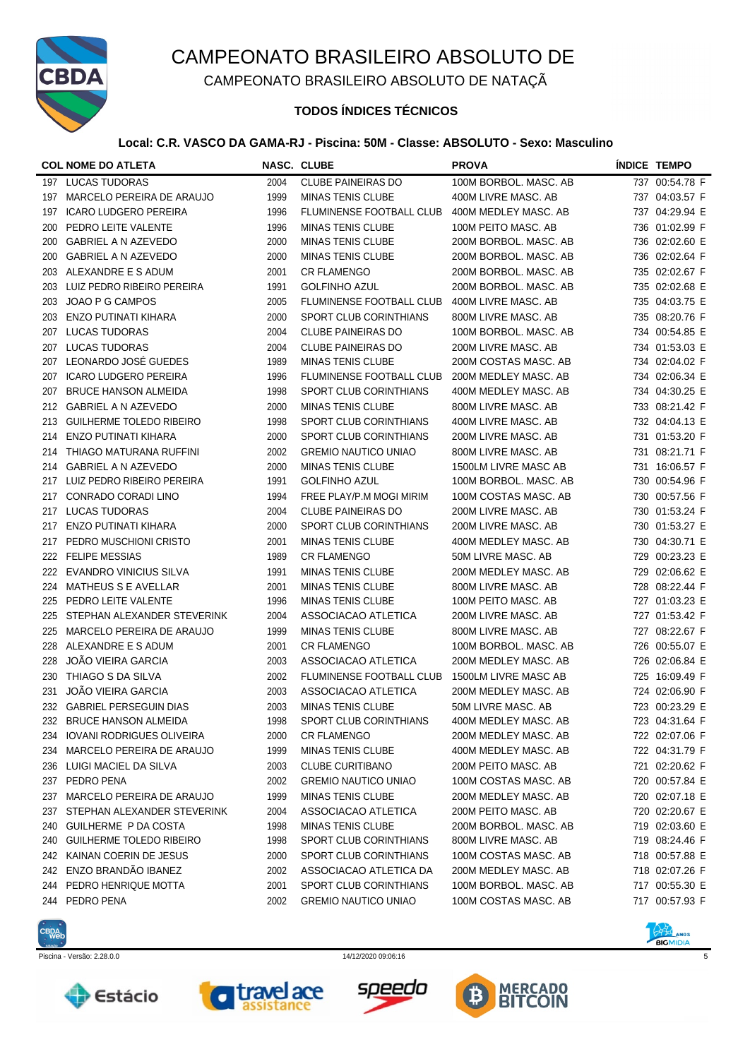

CAMPEONATO BRASILEIRO ABSOLUTO DE NATAÇÃ

## **TODOS ÍNDICES TÉCNICOS**

### **Local: C.R. VASCO DA GAMA-RJ - Piscina: 50M - Classe: ABSOLUTO - Sexo: Masculino**

|     | <b>COL NOME DO ATLETA</b>        |      | NASC. CLUBE                 | <b>PROVA</b>          | <b>INDICE TEMPO</b> |
|-----|----------------------------------|------|-----------------------------|-----------------------|---------------------|
|     | 197 LUCAS TUDORAS                | 2004 | <b>CLUBE PAINEIRAS DO</b>   | 100M BORBOL. MASC. AB | 737 00:54.78 F      |
| 197 | MARCELO PEREIRA DE ARAUJO        | 1999 | <b>MINAS TENIS CLUBE</b>    | 400M LIVRE MASC. AB   | 737 04:03.57 F      |
| 197 | <b>ICARO LUDGERO PEREIRA</b>     | 1996 | FLUMINENSE FOOTBALL CLUB    | 400M MEDLEY MASC. AB  | 737 04:29.94 E      |
| 200 | PEDRO LEITE VALENTE              | 1996 | <b>MINAS TENIS CLUBE</b>    | 100M PEITO MASC. AB   | 736 01:02.99 F      |
| 200 | GABRIEL A N AZEVEDO              | 2000 | <b>MINAS TENIS CLUBE</b>    | 200M BORBOL. MASC. AB | 736 02:02.60 E      |
| 200 | GABRIEL A N AZEVEDO              | 2000 | <b>MINAS TENIS CLUBE</b>    | 200M BORBOL. MASC. AB | 736 02:02.64 F      |
| 203 | ALEXANDRE E S ADUM               | 2001 | <b>CR FLAMENGO</b>          | 200M BORBOL. MASC. AB | 735 02:02.67 F      |
| 203 | LUIZ PEDRO RIBEIRO PEREIRA       | 1991 | <b>GOLFINHO AZUL</b>        | 200M BORBOL, MASC, AB | 735 02:02.68 E      |
| 203 | JOAO P G CAMPOS                  | 2005 | FLUMINENSE FOOTBALL CLUB    | 400M LIVRE MASC. AB   | 735 04:03.75 E      |
| 203 | <b>ENZO PUTINATI KIHARA</b>      | 2000 | SPORT CLUB CORINTHIANS      | 800M LIVRE MASC. AB   | 735 08:20.76 F      |
| 207 | <b>LUCAS TUDORAS</b>             | 2004 | <b>CLUBE PAINEIRAS DO</b>   | 100M BORBOL. MASC. AB | 734 00:54.85 E      |
| 207 | <b>LUCAS TUDORAS</b>             | 2004 | <b>CLUBE PAINEIRAS DO</b>   | 200M LIVRE MASC. AB   | 734 01:53.03 E      |
| 207 | LEONARDO JOSÉ GUEDES             | 1989 | <b>MINAS TENIS CLUBE</b>    | 200M COSTAS MASC. AB  | 734 02:04.02 F      |
| 207 | <b>ICARO LUDGERO PEREIRA</b>     | 1996 | FLUMINENSE FOOTBALL CLUB    | 200M MEDLEY MASC. AB  | 734 02:06.34 E      |
| 207 | <b>BRUCE HANSON ALMEIDA</b>      | 1998 | SPORT CLUB CORINTHIANS      | 400M MEDLEY MASC. AB  | 734 04:30.25 E      |
| 212 | <b>GABRIEL A N AZEVEDO</b>       | 2000 | <b>MINAS TENIS CLUBE</b>    | 800M LIVRE MASC. AB   | 733 08:21.42 F      |
| 213 | <b>GUILHERME TOLEDO RIBEIRO</b>  | 1998 | SPORT CLUB CORINTHIANS      | 400M LIVRE MASC. AB   | 732 04:04.13 E      |
| 214 | <b>ENZO PUTINATI KIHARA</b>      | 2000 | SPORT CLUB CORINTHIANS      | 200M LIVRE MASC. AB   | 731 01:53.20 F      |
| 214 | THIAGO MATURANA RUFFINI          | 2002 | <b>GREMIO NAUTICO UNIAO</b> | 800M LIVRE MASC. AB   | 731 08:21.71 F      |
| 214 | <b>GABRIEL A N AZEVEDO</b>       | 2000 | <b>MINAS TENIS CLUBE</b>    | 1500LM LIVRE MASC AB  | 731 16:06.57 F      |
| 217 | LUIZ PEDRO RIBEIRO PEREIRA       | 1991 | <b>GOLFINHO AZUL</b>        | 100M BORBOL. MASC. AB | 730 00:54.96 F      |
| 217 | CONRADO CORADI LINO              | 1994 | FREE PLAY/P.M MOGI MIRIM    | 100M COSTAS MASC. AB  | 730 00:57.56 F      |
| 217 | <b>LUCAS TUDORAS</b>             | 2004 | <b>CLUBE PAINEIRAS DO</b>   | 200M LIVRE MASC. AB   | 730 01:53.24 F      |
| 217 | ENZO PUTINATI KIHARA             | 2000 | SPORT CLUB CORINTHIANS      | 200M LIVRE MASC. AB   | 730 01:53.27 E      |
| 217 | PEDRO MUSCHIONI CRISTO           | 2001 | <b>MINAS TENIS CLUBE</b>    | 400M MEDLEY MASC. AB  | 730 04:30.71 E      |
|     | 222 FELIPE MESSIAS               | 1989 | <b>CR FLAMENGO</b>          | 50M LIVRE MASC. AB    | 729 00:23.23 E      |
|     | 222 EVANDRO VINICIUS SILVA       | 1991 | <b>MINAS TENIS CLUBE</b>    | 200M MEDLEY MASC. AB  | 729 02:06.62 E      |
| 224 | <b>MATHEUS S E AVELLAR</b>       | 2001 | <b>MINAS TENIS CLUBE</b>    | 800M LIVRE MASC, AB   | 728 08:22.44 F      |
| 225 | PEDRO LEITE VALENTE              | 1996 | <b>MINAS TENIS CLUBE</b>    | 100M PEITO MASC. AB   | 727 01:03.23 E      |
| 225 | STEPHAN ALEXANDER STEVERINK      | 2004 | ASSOCIACAO ATLETICA         | 200M LIVRE MASC. AB   | 727 01:53.42 F      |
| 225 | MARCELO PEREIRA DE ARAUJO        | 1999 | <b>MINAS TENIS CLUBE</b>    | 800M LIVRE MASC. AB   | 727 08:22.67 F      |
| 228 | ALEXANDRE E S ADUM               | 2001 | <b>CR FLAMENGO</b>          | 100M BORBOL. MASC. AB | 726 00:55.07 E      |
| 228 | JOÃO VIEIRA GARCIA               | 2003 | ASSOCIACAO ATLETICA         | 200M MEDLEY MASC. AB  | 726 02:06.84 E      |
| 230 | THIAGO S DA SILVA                | 2002 | FLUMINENSE FOOTBALL CLUB    | 1500LM LIVRE MASC AB  | 725 16:09.49 F      |
| 231 | <b>JOÃO VIEIRA GARCIA</b>        | 2003 | ASSOCIACAO ATLETICA         | 200M MEDLEY MASC. AB  | 724 02:06.90 F      |
|     | 232 GABRIEL PERSEGUIN DIAS       | 2003 | <b>MINAS TENIS CLUBE</b>    | 50M LIVRE MASC. AB    | 723 00:23.29 E      |
| 232 | <b>BRUCE HANSON ALMEIDA</b>      | 1998 | SPORT CLUB CORINTHIANS      | 400M MEDLEY MASC. AB  | 723 04:31.64 F      |
| 234 | <b>IOVANI RODRIGUES OLIVEIRA</b> | 2000 | <b>CR FLAMENGO</b>          | 200M MEDLEY MASC. AB  | 722 02:07.06 F      |
| 234 | MARCELO PEREIRA DE ARAUJO        | 1999 | <b>MINAS TENIS CLUBE</b>    | 400M MEDLEY MASC. AB  | 722 04:31.79 F      |
| 236 | LUIGI MACIEL DA SILVA            | 2003 | <b>CLUBE CURITIBANO</b>     | 200M PEITO MASC. AB   | 721 02:20.62 F      |
| 237 | PEDRO PENA                       | 2002 | <b>GREMIO NAUTICO UNIAO</b> | 100M COSTAS MASC. AB  | 720 00:57.84 E      |
| 237 | MARCELO PEREIRA DE ARAUJO        | 1999 | <b>MINAS TENIS CLUBE</b>    | 200M MEDLEY MASC. AB  | 720 02:07.18 E      |
| 237 | STEPHAN ALEXANDER STEVERINK      | 2004 | ASSOCIACAO ATLETICA         | 200M PEITO MASC. AB   | 720 02:20.67 E      |
| 240 | GUILHERME P DA COSTA             | 1998 | <b>MINAS TENIS CLUBE</b>    | 200M BORBOL. MASC. AB | 719 02:03.60 E      |
| 240 | GUILHERME TOLEDO RIBEIRO         | 1998 | SPORT CLUB CORINTHIANS      | 800M LIVRE MASC. AB   | 719 08:24.46 F      |
| 242 | KAINAN COERIN DE JESUS           | 2000 | SPORT CLUB CORINTHIANS      | 100M COSTAS MASC. AB  | 718 00:57.88 E      |
| 242 | ENZO BRANDÃO IBANEZ              | 2002 | ASSOCIACAO ATLETICA DA      | 200M MEDLEY MASC. AB  | 718 02:07.26 F      |
| 244 | PEDRO HENRIQUE MOTTA             | 2001 | SPORT CLUB CORINTHIANS      | 100M BORBOL. MASC. AB | 717 00:55.30 E      |
| 244 | PEDRO PENA                       | 2002 | <b>GREMIO NAUTICO UNIAO</b> | 100M COSTAS MASC. AB  | 717 00:57.93 F      |
|     |                                  |      |                             |                       |                     |











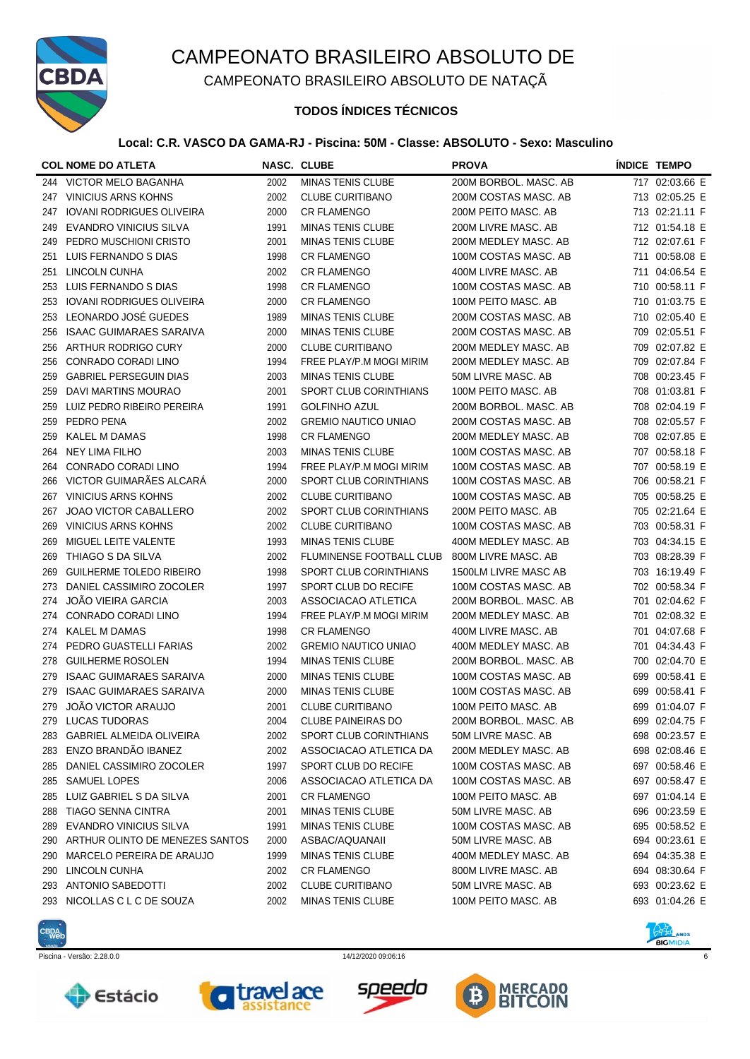

CAMPEONATO BRASILEIRO ABSOLUTO DE NATAÇÃ

### **TODOS ÍNDICES TÉCNICOS**

#### **Local: C.R. VASCO DA GAMA-RJ - Piscina: 50M - Classe: ABSOLUTO - Sexo: Masculino**

|     | <b>COL NOME DO ATLETA</b>        |      | <b>NASC. CLUBE</b>            | <b>PROVA</b>          |     | <b>ÍNDICE TEMPO</b> |
|-----|----------------------------------|------|-------------------------------|-----------------------|-----|---------------------|
| 244 | <b>VICTOR MELO BAGANHA</b>       | 2002 | <b>MINAS TENIS CLUBE</b>      | 200M BORBOL. MASC. AB |     | 717 02:03.66 E      |
| 247 | <b>VINICIUS ARNS KOHNS</b>       | 2002 | <b>CLUBE CURITIBANO</b>       | 200M COSTAS MASC. AB  |     | 713 02:05.25 E      |
| 247 | <b>IOVANI RODRIGUES OLIVEIRA</b> | 2000 | <b>CR FLAMENGO</b>            | 200M PEITO MASC. AB   |     | 713 02:21.11 F      |
| 249 | <b>EVANDRO VINICIUS SILVA</b>    | 1991 | <b>MINAS TENIS CLUBE</b>      | 200M LIVRE MASC. AB   |     | 712 01:54.18 E      |
| 249 | PEDRO MUSCHIONI CRISTO           | 2001 | <b>MINAS TENIS CLUBE</b>      | 200M MEDLEY MASC. AB  |     | 712 02:07.61 F      |
| 251 | LUIS FERNANDO S DIAS             | 1998 | <b>CR FLAMENGO</b>            | 100M COSTAS MASC. AB  |     | 711 00:58.08 E      |
| 251 | LINCOLN CUNHA                    | 2002 | <b>CR FLAMENGO</b>            | 400M LIVRE MASC. AB   |     | 711 04:06.54 E      |
| 253 | LUIS FERNANDO S DIAS             | 1998 | <b>CR FLAMENGO</b>            | 100M COSTAS MASC. AB  |     | 710 00:58.11 F      |
| 253 | <b>IOVANI RODRIGUES OLIVEIRA</b> | 2000 | <b>CR FLAMENGO</b>            | 100M PEITO MASC. AB   |     | 710 01:03.75 E      |
| 253 | LEONARDO JOSÉ GUEDES             | 1989 | <b>MINAS TENIS CLUBE</b>      | 200M COSTAS MASC. AB  |     | 710 02:05.40 E      |
| 256 | <b>ISAAC GUIMARAES SARAIVA</b>   | 2000 | <b>MINAS TENIS CLUBE</b>      | 200M COSTAS MASC. AB  |     | 709 02:05.51 F      |
| 256 | ARTHUR RODRIGO CURY              | 2000 | <b>CLUBE CURITIBANO</b>       | 200M MEDLEY MASC. AB  |     | 709 02:07.82 E      |
| 256 | CONRADO CORADI LINO              | 1994 | FREE PLAY/P.M MOGI MIRIM      | 200M MEDLEY MASC. AB  |     | 709 02:07.84 F      |
| 259 | <b>GABRIEL PERSEGUIN DIAS</b>    | 2003 | <b>MINAS TENIS CLUBE</b>      | 50M LIVRE MASC. AB    |     | 708 00:23.45 F      |
| 259 | DAVI MARTINS MOURAO              | 2001 | <b>SPORT CLUB CORINTHIANS</b> | 100M PEITO MASC. AB   |     | 708 01:03.81 F      |
| 259 | LUIZ PEDRO RIBEIRO PEREIRA       | 1991 | <b>GOLFINHO AZUL</b>          | 200M BORBOL. MASC. AB |     | 708 02:04.19 F      |
| 259 | PEDRO PENA                       | 2002 | <b>GREMIO NAUTICO UNIAO</b>   | 200M COSTAS MASC. AB  |     | 708 02:05.57 F      |
| 259 | <b>KALEL M DAMAS</b>             | 1998 | <b>CR FLAMENGO</b>            | 200M MEDLEY MASC. AB  |     | 708 02:07.85 E      |
| 264 | <b>NEY LIMA FILHO</b>            | 2003 | <b>MINAS TENIS CLUBE</b>      | 100M COSTAS MASC. AB  |     | 707 00:58.18 F      |
| 264 | CONRADO CORADI LINO              | 1994 | FREE PLAY/P.M MOGI MIRIM      | 100M COSTAS MASC. AB  |     | 707 00:58.19 E      |
| 266 | VICTOR GUIMARÃES ALCARÁ          | 2000 | SPORT CLUB CORINTHIANS        | 100M COSTAS MASC. AB  |     | 706 00:58.21 F      |
| 267 | <b>VINICIUS ARNS KOHNS</b>       | 2002 | <b>CLUBE CURITIBANO</b>       | 100M COSTAS MASC. AB  |     | 705 00:58.25 E      |
| 267 | <b>JOAO VICTOR CABALLERO</b>     | 2002 | SPORT CLUB CORINTHIANS        | 200M PEITO MASC. AB   |     | 705 02:21.64 E      |
| 269 | <b>VINICIUS ARNS KOHNS</b>       | 2002 | <b>CLUBE CURITIBANO</b>       | 100M COSTAS MASC. AB  |     | 703 00:58.31 F      |
| 269 | MIGUEL LEITE VALENTE             | 1993 | <b>MINAS TENIS CLUBE</b>      | 400M MEDLEY MASC. AB  |     | 703 04:34.15 E      |
| 269 | THIAGO S DA SILVA                | 2002 | FLUMINENSE FOOTBALL CLUB      | 800M LIVRE MASC. AB   |     | 703 08:28.39 F      |
| 269 | <b>GUILHERME TOLEDO RIBEIRO</b>  | 1998 | SPORT CLUB CORINTHIANS        | 1500LM LIVRE MASC AB  |     | 703 16:19.49 F      |
| 273 | DANIEL CASSIMIRO ZOCOLER         | 1997 | SPORT CLUB DO RECIFE          | 100M COSTAS MASC. AB  |     | 702 00:58.34 F      |
| 274 | <b>JOÃO VIEIRA GARCIA</b>        | 2003 | ASSOCIACAO ATLETICA           | 200M BORBOL. MASC. AB |     | 701 02:04.62 F      |
| 274 | CONRADO CORADI LINO              | 1994 | FREE PLAY/P.M MOGI MIRIM      | 200M MEDLEY MASC. AB  |     | 701 02:08.32 E      |
| 274 | <b>KALEL M DAMAS</b>             | 1998 | <b>CR FLAMENGO</b>            | 400M LIVRE MASC. AB   |     | 701 04:07.68 F      |
| 274 | PEDRO GUASTELLI FARIAS           | 2002 | <b>GREMIO NAUTICO UNIAO</b>   | 400M MEDLEY MASC, AB  |     | 701 04:34.43 F      |
| 278 | <b>GUILHERME ROSOLEN</b>         | 1994 | <b>MINAS TENIS CLUBE</b>      | 200M BORBOL, MASC, AB |     | 700 02:04.70 E      |
| 279 | <b>ISAAC GUIMARAES SARAIVA</b>   | 2000 | <b>MINAS TENIS CLUBE</b>      | 100M COSTAS MASC. AB  | 699 | 00:58.41 E          |
| 279 | <b>ISAAC GUIMARAES SARAIVA</b>   | 2000 | <b>MINAS TENIS CLUBE</b>      | 100M COSTAS MASC. AB  | 699 | 00:58.41 F          |
| 279 | <b>JOÃO VICTOR ARAUJO</b>        | 2001 | <b>CLUBE CURITIBANO</b>       | 100M PEITO MASC. AB   |     | 699 01:04.07 F      |
| 279 | LUCAS TUDORAS                    | 2004 | <b>CLUBE PAINEIRAS DO</b>     | 200M BORBOL. MASC. AB |     | 699 02:04.75 F      |
| 283 | <b>GABRIEL ALMEIDA OLIVEIRA</b>  | 2002 | SPORT CLUB CORINTHIANS        | 50M LIVRE MASC. AB    |     | 698 00:23.57 E      |
| 283 | ENZO BRANDÃO IBANEZ              | 2002 | ASSOCIACAO ATLETICA DA        | 200M MEDLEY MASC. AB  |     | 698 02:08.46 E      |
| 285 | DANIEL CASSIMIRO ZOCOLER         | 1997 | SPORT CLUB DO RECIFE          | 100M COSTAS MASC. AB  |     | 697 00:58.46 E      |
| 285 | <b>SAMUEL LOPES</b>              | 2006 | ASSOCIACAO ATLETICA DA        | 100M COSTAS MASC. AB  |     | 697 00:58.47 E      |
| 285 | LUIZ GABRIEL S DA SILVA          | 2001 | <b>CR FLAMENGO</b>            | 100M PEITO MASC. AB   |     | 697 01:04.14 E      |
| 288 | <b>TIAGO SENNA CINTRA</b>        | 2001 | <b>MINAS TENIS CLUBE</b>      | 50M LIVRE MASC. AB    |     | 696 00:23.59 E      |
| 289 | EVANDRO VINICIUS SILVA           | 1991 | <b>MINAS TENIS CLUBE</b>      | 100M COSTAS MASC. AB  |     | 695 00:58.52 E      |
| 290 | ARTHUR OLINTO DE MENEZES SANTOS  | 2000 | ASBAC/AQUANAII                | 50M LIVRE MASC. AB    |     | 694 00:23.61 E      |
| 290 | MARCELO PEREIRA DE ARAUJO        | 1999 | <b>MINAS TENIS CLUBE</b>      | 400M MEDLEY MASC. AB  |     | 694 04:35.38 E      |
| 290 | LINCOLN CUNHA                    | 2002 | <b>CR FLAMENGO</b>            | 800M LIVRE MASC. AB   |     | 694 08:30.64 F      |
| 293 | <b>ANTONIO SABEDOTTI</b>         | 2002 | <b>CLUBE CURITIBANO</b>       | 50M LIVRE MASC. AB    |     | 693 00:23.62 E      |
| 293 | NICOLLAS C L C DE SOUZA          | 2002 | <b>MINAS TENIS CLUBE</b>      | 100M PEITO MASC. AB   |     | 693 01:04.26 E      |











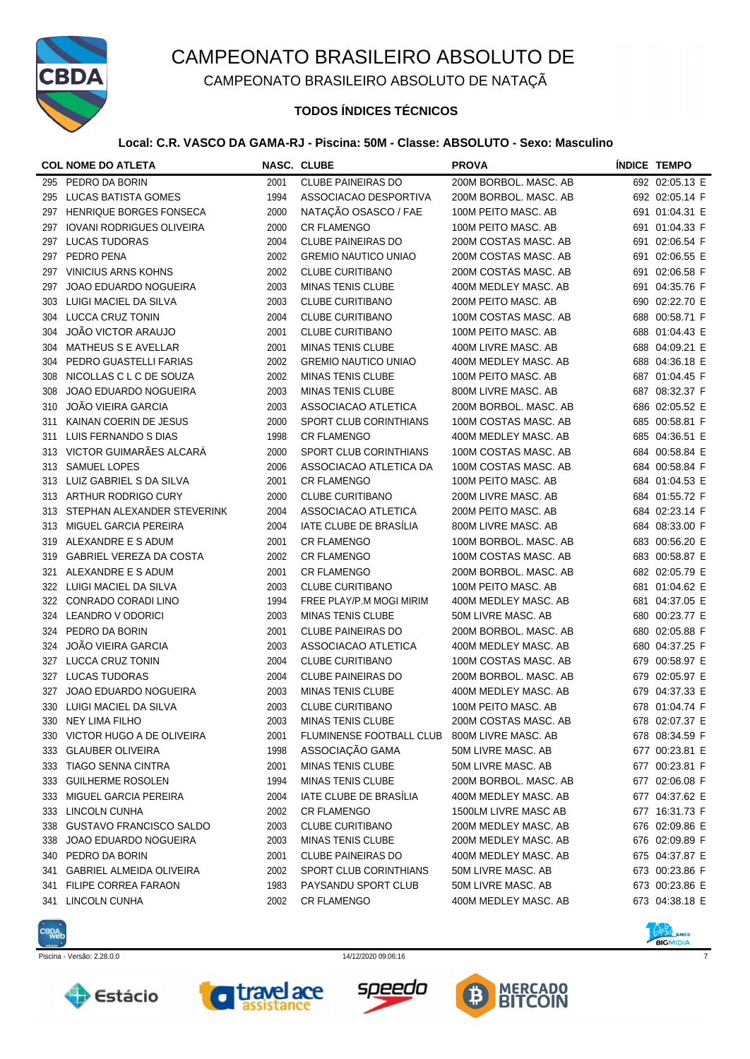

CAMPEONATO BRASILEIRO ABSOLUTO DE NATAÇÃ

## **TODOS ÍNDICES TÉCNICOS**

### **Local: C.R. VASCO DA GAMA-RJ - Piscina: 50M - Classe: ABSOLUTO - Sexo: Masculino**

|     | <b>COL NOME DO ATLETA</b>        |      | NASC. CLUBE                 | <b>PROVA</b>          | <b>INDICE TEMPO</b> |
|-----|----------------------------------|------|-----------------------------|-----------------------|---------------------|
| 295 | PEDRO DA BORIN                   | 2001 | <b>CLUBE PAINEIRAS DO</b>   | 200M BORBOL. MASC. AB | 692 02:05.13 E      |
| 295 | <b>LUCAS BATISTA GOMES</b>       | 1994 | ASSOCIACAO DESPORTIVA       | 200M BORBOL. MASC. AB | 692 02:05.14 F      |
| 297 | HENRIQUE BORGES FONSECA          | 2000 | NATAÇÃO OSASCO / FAE        | 100M PEITO MASC. AB   | 691 01:04.31 E      |
| 297 | <b>IOVANI RODRIGUES OLIVEIRA</b> | 2000 | <b>CR FLAMENGO</b>          | 100M PEITO MASC. AB   | 691 01:04.33 F      |
| 297 | <b>LUCAS TUDORAS</b>             | 2004 | <b>CLUBE PAINEIRAS DO</b>   | 200M COSTAS MASC. AB  | 691 02:06.54 F      |
| 297 | PEDRO PENA                       | 2002 | <b>GREMIO NAUTICO UNIAO</b> | 200M COSTAS MASC. AB  | 691 02:06.55 E      |
| 297 | <b>VINICIUS ARNS KOHNS</b>       | 2002 | <b>CLUBE CURITIBANO</b>     | 200M COSTAS MASC. AB  | 691 02:06.58 F      |
| 297 | JOAO EDUARDO NOGUEIRA            | 2003 | <b>MINAS TENIS CLUBE</b>    | 400M MEDLEY MASC. AB  | 691 04:35.76 F      |
| 303 | LUIGI MACIEL DA SILVA            | 2003 | <b>CLUBE CURITIBANO</b>     | 200M PEITO MASC. AB   | 690 02:22.70 E      |
| 304 | LUCCA CRUZ TONIN                 | 2004 | <b>CLUBE CURITIBANO</b>     | 100M COSTAS MASC. AB  | 688 00:58.71 F      |
| 304 | JOÃO VICTOR ARAUJO               | 2001 | <b>CLUBE CURITIBANO</b>     | 100M PEITO MASC. AB   | 688 01:04.43 E      |
| 304 | <b>MATHEUS S E AVELLAR</b>       | 2001 | <b>MINAS TENIS CLUBE</b>    | 400M LIVRE MASC. AB   | 688 04:09.21 E      |
| 304 | PEDRO GUASTELLI FARIAS           | 2002 | <b>GREMIO NAUTICO UNIAO</b> | 400M MEDLEY MASC. AB  | 688 04:36.18 E      |
| 308 | NICOLLAS C L C DE SOUZA          | 2002 | <b>MINAS TENIS CLUBE</b>    | 100M PEITO MASC. AB   | 687 01:04.45 F      |
| 308 | JOAO EDUARDO NOGUEIRA            | 2003 | <b>MINAS TENIS CLUBE</b>    | 800M LIVRE MASC. AB   | 687 08:32.37 F      |
| 310 | JOÃO VIEIRA GARCIA               | 2003 | ASSOCIACAO ATLETICA         | 200M BORBOL. MASC. AB | 686 02:05.52 E      |
| 311 | KAINAN COERIN DE JESUS           | 2000 | SPORT CLUB CORINTHIANS      | 100M COSTAS MASC. AB  | 685 00:58.81 F      |
| 311 | LUIS FERNANDO S DIAS             | 1998 | <b>CR FLAMENGO</b>          | 400M MEDLEY MASC. AB  | 685 04:36.51 E      |
| 313 | VICTOR GUIMARÃES ALCARÁ          | 2000 | SPORT CLUB CORINTHIANS      | 100M COSTAS MASC. AB  | 684 00:58.84 E      |
| 313 | <b>SAMUEL LOPES</b>              | 2006 | ASSOCIACAO ATLETICA DA      | 100M COSTAS MASC. AB  | 684 00:58.84 F      |
|     | 313 LUIZ GABRIEL S DA SILVA      | 2001 | <b>CR FLAMENGO</b>          | 100M PEITO MASC. AB   | 684 01:04.53 E      |
|     | 313 ARTHUR RODRIGO CURY          | 2000 | <b>CLUBE CURITIBANO</b>     | 200M LIVRE MASC. AB   | 684 01:55.72 F      |
| 313 | STEPHAN ALEXANDER STEVERINK      | 2004 | ASSOCIACAO ATLETICA         | 200M PEITO MASC. AB   | 684 02:23.14 F      |
| 313 | MIGUEL GARCIA PEREIRA            | 2004 | IATE CLUBE DE BRASÍLIA      | 800M LIVRE MASC. AB   | 684 08:33.00 F      |
| 319 | ALEXANDRE E S ADUM               | 2001 | <b>CR FLAMENGO</b>          | 100M BORBOL. MASC. AB | 683 00:56.20 E      |
| 319 | <b>GABRIEL VEREZA DA COSTA</b>   | 2002 | <b>CR FLAMENGO</b>          | 100M COSTAS MASC. AB  | 683 00:58.87 E      |
| 321 | ALEXANDRE E S ADUM               | 2001 | <b>CR FLAMENGO</b>          | 200M BORBOL. MASC. AB | 682 02:05.79 E      |
|     | 322 LUIGI MACIEL DA SILVA        | 2003 | <b>CLUBE CURITIBANO</b>     | 100M PEITO MASC. AB   | 681 01:04.62 E      |
| 322 | CONRADO CORADI LINO              | 1994 | FREE PLAY/P.M MOGI MIRIM    | 400M MEDLEY MASC. AB  | 681 04:37.05 E      |
| 324 | LEANDRO V ODORICI                | 2003 | <b>MINAS TENIS CLUBE</b>    | 50M LIVRE MASC. AB    | 680 00:23.77 E      |
| 324 | PEDRO DA BORIN                   | 2001 | <b>CLUBE PAINEIRAS DO</b>   | 200M BORBOL. MASC. AB | 680 02:05.88 F      |
| 324 | JOÃO VIEIRA GARCIA               | 2003 | ASSOCIACAO ATLETICA         | 400M MEDLEY MASC. AB  | 680 04:37.25 F      |
| 327 | <b>LUCCA CRUZ TONIN</b>          | 2004 | <b>CLUBE CURITIBANO</b>     | 100M COSTAS MASC. AB  | 679 00:58.97 E      |
| 327 | <b>LUCAS TUDORAS</b>             | 2004 | <b>CLUBE PAINEIRAS DO</b>   | 200M BORBOL. MASC. AB | 679 02:05.97 E      |
| 327 | JOAO EDUARDO NOGUEIRA            | 2003 | <b>MINAS TENIS CLUBE</b>    | 400M MEDLEY MASC. AB  | 679 04:37.33 E      |
|     | 330 LUIGI MACIEL DA SILVA        | 2003 | <b>CLUBE CURITIBANO</b>     | 100M PEITO MASC. AB   | 678 01:04.74 F      |
| 330 | NEY LIMA FILHO                   | 2003 | <b>MINAS TENIS CLUBE</b>    | 200M COSTAS MASC. AB  | 678 02:07.37 E      |
|     | 330 VICTOR HUGO A DE OLIVEIRA    | 2001 | FLUMINENSE FOOTBALL CLUB    | 800M LIVRE MASC. AB   | 678 08:34.59 F      |
| 333 | <b>GLAUBER OLIVEIRA</b>          | 1998 | ASSOCIAÇÃO GAMA             | 50M LIVRE MASC. AB    | 677 00:23.81 E      |
| 333 | <b>TIAGO SENNA CINTRA</b>        | 2001 | <b>MINAS TENIS CLUBE</b>    | 50M LIVRE MASC. AB    | 677 00:23.81 F      |
| 333 | <b>GUILHERME ROSOLEN</b>         | 1994 | <b>MINAS TENIS CLUBE</b>    | 200M BORBOL. MASC. AB | 677 02:06.08 F      |
| 333 | <b>MIGUEL GARCIA PEREIRA</b>     | 2004 | IATE CLUBE DE BRASÍLIA      | 400M MEDLEY MASC. AB  | 677 04:37.62 E      |
| 333 | LINCOLN CUNHA                    | 2002 | <b>CR FLAMENGO</b>          | 1500LM LIVRE MASC AB  | 677 16:31.73 F      |
| 338 | <b>GUSTAVO FRANCISCO SALDO</b>   | 2003 | <b>CLUBE CURITIBANO</b>     | 200M MEDLEY MASC. AB  | 676 02:09.86 E      |
| 338 | JOAO EDUARDO NOGUEIRA            | 2003 | <b>MINAS TENIS CLUBE</b>    | 200M MEDLEY MASC. AB  | 676 02:09.89 F      |
| 340 | PEDRO DA BORIN                   | 2001 | <b>CLUBE PAINEIRAS DO</b>   | 400M MEDLEY MASC. AB  | 675 04:37.87 E      |
| 341 | <b>GABRIEL ALMEIDA OLIVEIRA</b>  | 2002 | SPORT CLUB CORINTHIANS      | 50M LIVRE MASC. AB    | 673 00:23.86 F      |
| 341 | FILIPE CORREA FARAON             | 1983 | PAYSANDU SPORT CLUB         | 50M LIVRE MASC. AB    | 673 00:23.86 E      |
| 341 | LINCOLN CUNHA                    | 2002 | <b>CR FLAMENGO</b>          | 400M MEDLEY MASC. AB  | 673 04:38.18 E      |
|     |                                  |      |                             |                       |                     |











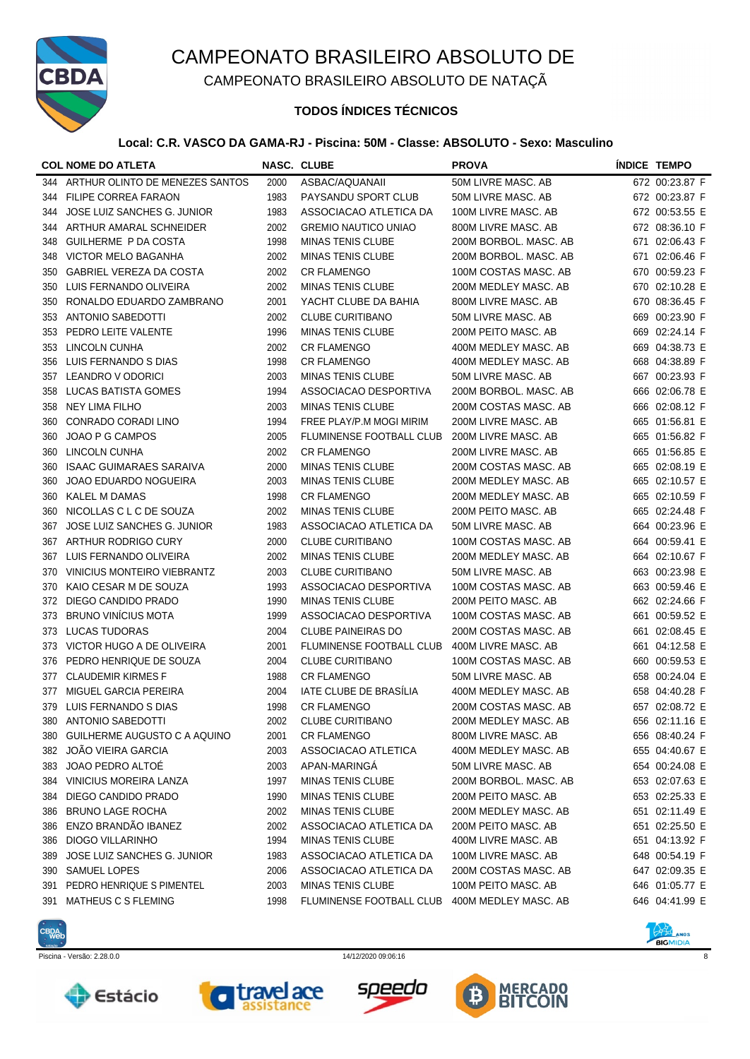

CAMPEONATO BRASILEIRO ABSOLUTO DE NATAÇÃ

## **TODOS ÍNDICES TÉCNICOS**

### **Local: C.R. VASCO DA GAMA-RJ - Piscina: 50M - Classe: ABSOLUTO - Sexo: Masculino**

|     | <b>COL NOME DO ATLETA</b>       |      | <b>NASC. CLUBE</b>              | <b>PROVA</b>          | <b>ÍNDICE TEMPO</b> |
|-----|---------------------------------|------|---------------------------------|-----------------------|---------------------|
| 344 | ARTHUR OLINTO DE MENEZES SANTOS | 2000 | ASBAC/AQUANAII                  | 50M LIVRE MASC. AB    | 672 00:23.87 F      |
| 344 | <b>FILIPE CORREA FARAON</b>     | 1983 | PAYSANDU SPORT CLUB             | 50M LIVRE MASC. AB    | 672 00:23.87 F      |
| 344 | JOSE LUIZ SANCHES G. JUNIOR     | 1983 | ASSOCIACAO ATLETICA DA          | 100M LIVRE MASC. AB   | 672 00:53.55 E      |
| 344 | ARTHUR AMARAL SCHNEIDER         | 2002 | <b>GREMIO NAUTICO UNIAO</b>     | 800M LIVRE MASC. AB   | 672 08:36.10 F      |
| 348 | GUILHERME P DA COSTA            | 1998 | <b>MINAS TENIS CLUBE</b>        | 200M BORBOL. MASC. AB | 671 02:06.43 F      |
| 348 | VICTOR MELO BAGANHA             | 2002 | <b>MINAS TENIS CLUBE</b>        | 200M BORBOL. MASC. AB | 671 02:06.46 F      |
| 350 | <b>GABRIEL VEREZA DA COSTA</b>  | 2002 | <b>CR FLAMENGO</b>              | 100M COSTAS MASC. AB  | 670 00:59.23 F      |
| 350 | LUIS FERNANDO OLIVEIRA          | 2002 | <b>MINAS TENIS CLUBE</b>        | 200M MEDLEY MASC. AB  | 670 02:10.28 E      |
| 350 | RONALDO EDUARDO ZAMBRANO        | 2001 | YACHT CLUBE DA BAHIA            | 800M LIVRE MASC, AB   | 670 08:36.45 F      |
| 353 | <b>ANTONIO SABEDOTTI</b>        | 2002 | <b>CLUBE CURITIBANO</b>         | 50M LIVRE MASC. AB    | 669 00:23.90 F      |
| 353 | PEDRO LEITE VALENTE             | 1996 | <b>MINAS TENIS CLUBE</b>        | 200M PEITO MASC. AB   | 669 02:24.14 F      |
| 353 | <b>LINCOLN CUNHA</b>            | 2002 | <b>CR FLAMENGO</b>              | 400M MEDLEY MASC. AB  | 669 04:38.73 E      |
| 356 | LUIS FERNANDO S DIAS            | 1998 | <b>CR FLAMENGO</b>              | 400M MEDLEY MASC. AB  | 668 04:38.89 F      |
| 357 | LEANDRO V ODORICI               | 2003 | <b>MINAS TENIS CLUBE</b>        | 50M LIVRE MASC. AB    | 667 00:23.93 F      |
| 358 | <b>LUCAS BATISTA GOMES</b>      | 1994 | ASSOCIACAO DESPORTIVA           | 200M BORBOL. MASC. AB | 666 02:06.78 E      |
| 358 | <b>NEY LIMA FILHO</b>           | 2003 | <b>MINAS TENIS CLUBE</b>        | 200M COSTAS MASC. AB  | 666 02:08.12 F      |
| 360 | CONRADO CORADI LINO             | 1994 | FREE PLAY/P.M MOGI MIRIM        | 200M LIVRE MASC. AB   | 665 01:56.81 E      |
| 360 | JOAO P G CAMPOS                 | 2005 | FLUMINENSE FOOTBALL CLUB        | 200M LIVRE MASC. AB   | 665 01:56.82 F      |
| 360 | <b>LINCOLN CUNHA</b>            | 2002 | <b>CR FLAMENGO</b>              | 200M LIVRE MASC. AB   | 665 01:56.85 E      |
| 360 | <b>ISAAC GUIMARAES SARAIVA</b>  | 2000 | <b>MINAS TENIS CLUBE</b>        | 200M COSTAS MASC. AB  | 665 02:08.19 E      |
| 360 | JOAO EDUARDO NOGUEIRA           | 2003 | <b>MINAS TENIS CLUBE</b>        | 200M MEDLEY MASC. AB  | 665 02:10.57 E      |
| 360 | <b>KALEL M DAMAS</b>            | 1998 | <b>CR FLAMENGO</b>              | 200M MEDLEY MASC. AB  | 665 02:10.59 F      |
| 360 | NICOLLAS C L C DE SOUZA         | 2002 | <b>MINAS TENIS CLUBE</b>        | 200M PEITO MASC. AB   | 665 02:24.48 F      |
| 367 | JOSE LUIZ SANCHES G. JUNIOR     | 1983 | ASSOCIACAO ATLETICA DA          | 50M LIVRE MASC. AB    | 664 00:23.96 E      |
| 367 | ARTHUR RODRIGO CURY             | 2000 | <b>CLUBE CURITIBANO</b>         | 100M COSTAS MASC. AB  | 664 00:59.41 E      |
| 367 | LUIS FERNANDO OLIVEIRA          | 2002 | <b>MINAS TENIS CLUBE</b>        | 200M MEDLEY MASC. AB  | 664 02:10.67 F      |
| 370 | VINICIUS MONTEIRO VIEBRANTZ     | 2003 | <b>CLUBE CURITIBANO</b>         | 50M LIVRE MASC. AB    | 663 00:23.98 E      |
| 370 | KAIO CESAR M DE SOUZA           | 1993 | ASSOCIACAO DESPORTIVA           | 100M COSTAS MASC. AB  | 663 00:59.46 E      |
| 372 | DIEGO CANDIDO PRADO             | 1990 | <b>MINAS TENIS CLUBE</b>        | 200M PEITO MASC. AB   | 662 02:24.66 F      |
| 373 | <b>BRUNO VINÍCIUS MOTA</b>      | 1999 | ASSOCIACAO DESPORTIVA           | 100M COSTAS MASC. AB  | 661 00:59.52 E      |
| 373 | <b>LUCAS TUDORAS</b>            | 2004 | <b>CLUBE PAINEIRAS DO</b>       | 200M COSTAS MASC. AB  | 661 02:08.45 E      |
| 373 | VICTOR HUGO A DE OLIVEIRA       | 2001 | <b>FLUMINENSE FOOTBALL CLUB</b> | 400M LIVRE MASC. AB   | 661 04:12.58 E      |
| 376 | PEDRO HENRIQUE DE SOUZA         | 2004 | <b>CLUBE CURITIBANO</b>         | 100M COSTAS MASC. AB  | 660 00:59.53 E      |
| 377 | <b>CLAUDEMIR KIRMES F</b>       | 1988 | <b>CR FLAMENGO</b>              | 50M LIVRE MASC. AB    | 658 00:24.04 E      |
| 377 | MIGUEL GARCIA PEREIRA           | 2004 | IATE CLUBE DE BRASÍLIA          | 400M MEDLEY MASC. AB  | 658 04:40.28 F      |
|     | 379 LUIS FERNANDO S DIAS        | 1998 | <b>CR FLAMENGO</b>              | 200M COSTAS MASC. AB  | 657 02:08.72 E      |
| 380 | <b>ANTONIO SABEDOTTI</b>        | 2002 | CLUBE CURITIBANO                | 200M MEDLEY MASC. AB  | 656 02:11.16 E      |
| 380 | GUILHERME AUGUSTO C A AQUINO    | 2001 | <b>CR FLAMENGO</b>              | 800M LIVRE MASC. AB   | 656 08:40.24 F      |
|     | 382 JOÃO VIEIRA GARCIA          | 2003 | ASSOCIACAO ATLETICA             | 400M MEDLEY MASC. AB  | 655 04:40.67 E      |
| 383 | JOAO PEDRO ALTOË                | 2003 | APAN-MARINGA                    | 50M LIVRE MASC. AB    | 654 00:24.08 E      |
|     | 384 VINICIUS MOREIRA LANZA      | 1997 | <b>MINAS TENIS CLUBE</b>        | 200M BORBOL. MASC. AB | 653 02:07.63 E      |
| 384 | DIEGO CANDIDO PRADO             | 1990 | <b>MINAS TENIS CLUBE</b>        | 200M PEITO MASC. AB   | 653 02:25.33 E      |
| 386 | <b>BRUNO LAGE ROCHA</b>         | 2002 | <b>MINAS TENIS CLUBE</b>        | 200M MEDLEY MASC. AB  | 651 02:11.49 E      |
| 386 | ENZO BRANDÃO IBANEZ             | 2002 | ASSOCIACAO ATLETICA DA          | 200M PEITO MASC. AB   | 651 02:25.50 E      |
| 386 | DIOGO VILLARINHO                | 1994 | <b>MINAS TENIS CLUBE</b>        | 400M LIVRE MASC. AB   | 651 04:13.92 F      |
| 389 | JOSE LUIZ SANCHES G. JUNIOR     | 1983 | ASSOCIACAO ATLETICA DA          | 100M LIVRE MASC. AB   | 648 00:54.19 F      |
| 390 | <b>SAMUEL LOPES</b>             | 2006 | ASSOCIACAO ATLETICA DA          | 200M COSTAS MASC. AB  | 647 02:09.35 E      |
| 391 | PEDRO HENRIQUE S PIMENTEL       | 2003 | <b>MINAS TENIS CLUBE</b>        | 100M PEITO MASC. AB   | 646 01:05.77 E      |
| 391 | MATHEUS C S FLEMING             | 1998 | FLUMINENSE FOOTBALL CLUB        | 400M MEDLEY MASC. AB  | 646 04:41.99 E      |
|     |                                 |      |                                 |                       |                     |











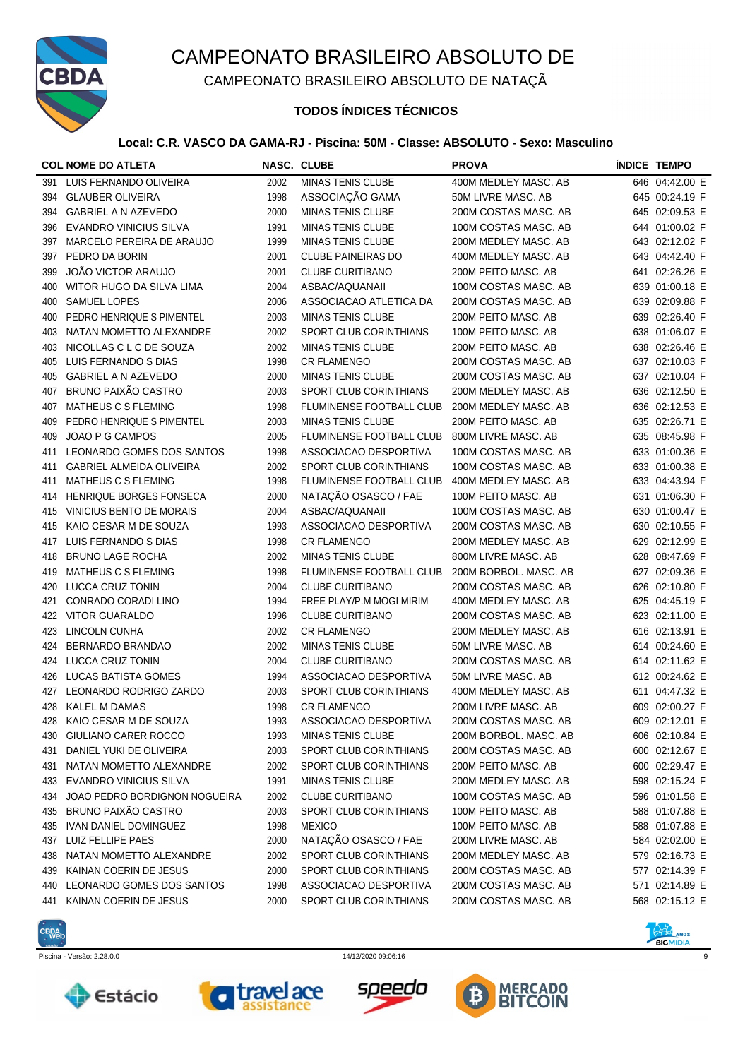

CAMPEONATO BRASILEIRO ABSOLUTO DE NATAÇÃ

### **TODOS ÍNDICES TÉCNICOS**

### **Local: C.R. VASCO DA GAMA-RJ - Piscina: 50M - Classe: ABSOLUTO - Sexo: Masculino**

|     | <b>COL NOME DO ATLETA</b>       |      | NASC. CLUBE                     | <b>PROVA</b>          | <b>INDICE TEMPO</b> |
|-----|---------------------------------|------|---------------------------------|-----------------------|---------------------|
| 391 | LUIS FERNANDO OLIVEIRA          | 2002 | <b>MINAS TENIS CLUBE</b>        | 400M MEDLEY MASC. AB  | 646 04:42.00 E      |
| 394 | <b>GLAUBER OLIVEIRA</b>         | 1998 | ASSOCIAÇÃO GAMA                 | 50M LIVRE MASC, AB    | 645 00:24.19 F      |
| 394 | <b>GABRIEL A N AZEVEDO</b>      | 2000 | <b>MINAS TENIS CLUBE</b>        | 200M COSTAS MASC. AB  | 645 02:09.53 E      |
| 396 | <b>EVANDRO VINICIUS SILVA</b>   | 1991 | <b>MINAS TENIS CLUBE</b>        | 100M COSTAS MASC. AB  | 644 01:00.02 F      |
| 397 | MARCELO PEREIRA DE ARAUJO       | 1999 | <b>MINAS TENIS CLUBE</b>        | 200M MEDLEY MASC. AB  | 643 02:12.02 F      |
| 397 | PEDRO DA BORIN                  | 2001 | <b>CLUBE PAINEIRAS DO</b>       | 400M MEDLEY MASC. AB  | 643 04:42.40 F      |
| 399 | <b>JOÃO VICTOR ARAUJO</b>       | 2001 | <b>CLUBE CURITIBANO</b>         | 200M PEITO MASC. AB   | 641 02:26.26 E      |
| 400 | WITOR HUGO DA SILVA LIMA        | 2004 | ASBAC/AQUANAII                  | 100M COSTAS MASC. AB  | 639 01:00.18 E      |
| 400 | <b>SAMUEL LOPES</b>             | 2006 | ASSOCIACAO ATLETICA DA          | 200M COSTAS MASC. AB  | 639 02:09.88 F      |
| 400 | PEDRO HENRIQUE S PIMENTEL       | 2003 | <b>MINAS TENIS CLUBE</b>        | 200M PEITO MASC. AB   | 639 02:26.40 F      |
| 403 | NATAN MOMETTO ALEXANDRE         | 2002 | SPORT CLUB CORINTHIANS          | 100M PEITO MASC. AB   | 638 01:06.07 E      |
| 403 | NICOLLAS C L C DE SOUZA         | 2002 | <b>MINAS TENIS CLUBE</b>        | 200M PEITO MASC. AB   | 638 02:26.46 E      |
| 405 | LUIS FERNANDO S DIAS            | 1998 | <b>CR FLAMENGO</b>              | 200M COSTAS MASC. AB  | 637 02:10.03 F      |
| 405 | GABRIEL A N AZEVEDO             | 2000 | <b>MINAS TENIS CLUBE</b>        | 200M COSTAS MASC. AB  | 637 02:10.04 F      |
| 407 | <b>BRUNO PAIXÃO CASTRO</b>      | 2003 | SPORT CLUB CORINTHIANS          | 200M MEDLEY MASC. AB  | 636 02:12.50 E      |
| 407 | MATHEUS C S FLEMING             | 1998 | FLUMINENSE FOOTBALL CLUB        | 200M MEDLEY MASC, AB  | 636 02:12.53 E      |
| 409 | PEDRO HENRIQUE S PIMENTEL       | 2003 | <b>MINAS TENIS CLUBE</b>        | 200M PEITO MASC. AB   | 635 02:26.71 E      |
| 409 | JOAO P G CAMPOS                 | 2005 | <b>FLUMINENSE FOOTBALL CLUB</b> | 800M LIVRE MASC. AB   | 635 08:45.98 F      |
| 411 | LEONARDO GOMES DOS SANTOS       | 1998 | ASSOCIACAO DESPORTIVA           | 100M COSTAS MASC. AB  | 633 01:00.36 E      |
| 411 | <b>GABRIEL ALMEIDA OLIVEIRA</b> | 2002 | SPORT CLUB CORINTHIANS          | 100M COSTAS MASC. AB  | 633 01:00.38 E      |
| 411 | MATHEUS C S FLEMING             | 1998 | FLUMINENSE FOOTBALL CLUB        | 400M MEDLEY MASC, AB  | 633 04:43.94 F      |
| 414 | HENRIQUE BORGES FONSECA         | 2000 | NATAÇÃO OSASCO / FAE            | 100M PEITO MASC. AB   | 631 01:06.30 F      |
| 415 | VINICIUS BENTO DE MORAIS        | 2004 | ASBAC/AQUANAII                  | 100M COSTAS MASC. AB  | 630 01:00.47 E      |
| 415 | KAIO CESAR M DE SOUZA           | 1993 | ASSOCIACAO DESPORTIVA           | 200M COSTAS MASC. AB  | 630 02:10.55 F      |
| 417 | LUIS FERNANDO S DIAS            | 1998 | <b>CR FLAMENGO</b>              | 200M MEDLEY MASC. AB  | 629 02:12.99 E      |
| 418 | <b>BRUNO LAGE ROCHA</b>         | 2002 | <b>MINAS TENIS CLUBE</b>        | 800M LIVRE MASC. AB   | 628 08:47.69 F      |
| 419 | MATHEUS C S FLEMING             | 1998 | FLUMINENSE FOOTBALL CLUB        | 200M BORBOL. MASC. AB | 627 02:09.36 E      |
| 420 | <b>LUCCA CRUZ TONIN</b>         | 2004 | <b>CLUBE CURITIBANO</b>         | 200M COSTAS MASC. AB  | 626 02:10.80 F      |
| 421 | CONRADO CORADI LINO             | 1994 | FREE PLAY/P.M MOGI MIRIM        | 400M MEDLEY MASC. AB  | 625 04:45.19 F      |
| 422 | <b>VITOR GUARALDO</b>           | 1996 | <b>CLUBE CURITIBANO</b>         | 200M COSTAS MASC. AB  | 623 02:11.00 E      |
| 423 | LINCOLN CUNHA                   | 2002 | <b>CR FLAMENGO</b>              | 200M MEDLEY MASC. AB  | 616 02:13.91 E      |
| 424 | BERNARDO BRANDAO                | 2002 | <b>MINAS TENIS CLUBE</b>        | 50M LIVRE MASC. AB    | 614 00:24.60 E      |
| 424 | <b>LUCCA CRUZ TONIN</b>         | 2004 | <b>CLUBE CURITIBANO</b>         | 200M COSTAS MASC. AB  | 614 02:11.62 E      |
| 426 | LUCAS BATISTA GOMES             | 1994 | ASSOCIACAO DESPORTIVA           | 50M LIVRE MASC, AB    | 612 00:24.62 E      |
| 427 | LEONARDO RODRIGO ZARDO          | 2003 | SPORT CLUB CORINTHIANS          | 400M MEDLEY MASC. AB  | 611 04:47.32 E      |
|     | 428 KALEL M DAMAS               | 1998 | <b>CR FLAMENGO</b>              | 200M LIVRE MASC. AB   | 609 02:00.27 F      |
| 428 | KAIO CESAR M DE SOUZA           | 1993 | ASSOCIACAO DESPORTIVA           | 200M COSTAS MASC. AB  | 609 02:12.01 E      |
| 430 | GIULIANO CARER ROCCO            | 1993 | <b>MINAS TENIS CLUBE</b>        | 200M BORBOL. MASC. AB | 606 02:10.84 E      |
| 431 | DANIEL YUKI DE OLIVEIRA         | 2003 | SPORT CLUB CORINTHIANS          | 200M COSTAS MASC. AB  | 600 02:12.67 E      |
| 431 | NATAN MOMETTO ALEXANDRE         | 2002 | SPORT CLUB CORINTHIANS          | 200M PEITO MASC. AB   | 600 02:29.47 E      |
| 433 | <b>EVANDRO VINICIUS SILVA</b>   | 1991 | <b>MINAS TENIS CLUBE</b>        | 200M MEDLEY MASC. AB  | 598 02:15.24 F      |
| 434 | JOAO PEDRO BORDIGNON NOGUEIRA   | 2002 | <b>CLUBE CURITIBANO</b>         | 100M COSTAS MASC. AB  | 596 01:01.58 E      |
| 435 | BRUNO PAIXÃO CASTRO             | 2003 | SPORT CLUB CORINTHIANS          | 100M PEITO MASC. AB   | 588 01:07.88 E      |
| 435 | IVAN DANIEL DOMINGUEZ           | 1998 | <b>MEXICO</b>                   | 100M PEITO MASC. AB   | 588 01:07.88 E      |
|     | 437 LUIZ FELLIPE PAES           | 2000 | NATAÇÃO OSASCO / FAE            | 200M LIVRE MASC. AB   | 584 02:02.00 E      |
| 438 | NATAN MOMETTO ALEXANDRE         | 2002 | SPORT CLUB CORINTHIANS          | 200M MEDLEY MASC. AB  | 579 02:16.73 E      |
|     | 439 KAINAN COERIN DE JESUS      | 2000 | SPORT CLUB CORINTHIANS          | 200M COSTAS MASC. AB  | 577 02:14.39 F      |
|     | 440 LEONARDO GOMES DOS SANTOS   | 1998 | ASSOCIACAO DESPORTIVA           | 200M COSTAS MASC. AB  | 571 02:14.89 E      |
| 441 | KAINAN COERIN DE JESUS          | 2000 | SPORT CLUB CORINTHIANS          | 200M COSTAS MASC. AB  | 568 02:15.12 E      |
|     |                                 |      |                                 |                       |                     |